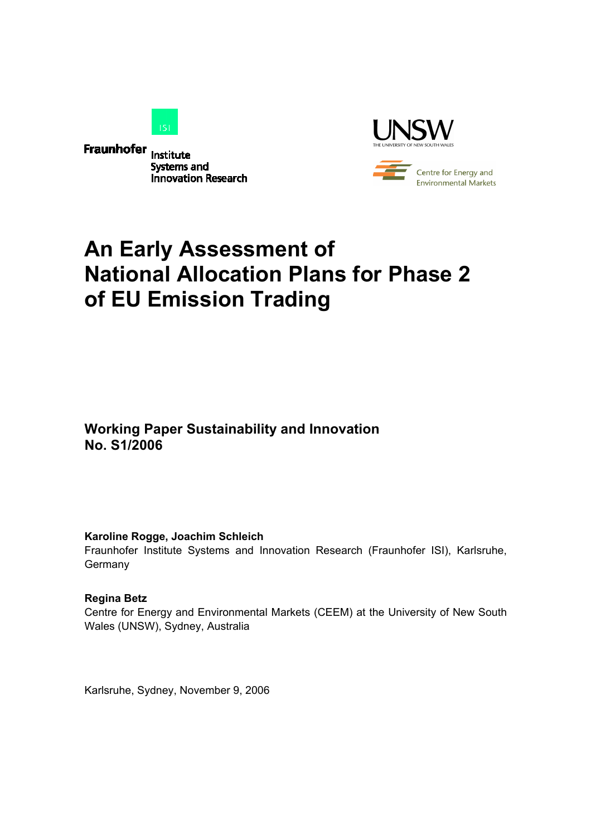

**Fraunhofer** Institute **Systems and Innovation Research** 



# **An Early Assessment of National Allocation Plans for Phase 2 of EU Emission Trading**

**Working Paper Sustainability and Innovation No. S1/2006** 

#### **Karoline Rogge, Joachim Schleich**

Fraunhofer Institute Systems and Innovation Research (Fraunhofer ISI), Karlsruhe, **Germany** 

#### **Regina Betz**

Centre for Energy and Environmental Markets (CEEM) at the University of New South Wales (UNSW), Sydney, Australia

Karlsruhe, Sydney, November 9, 2006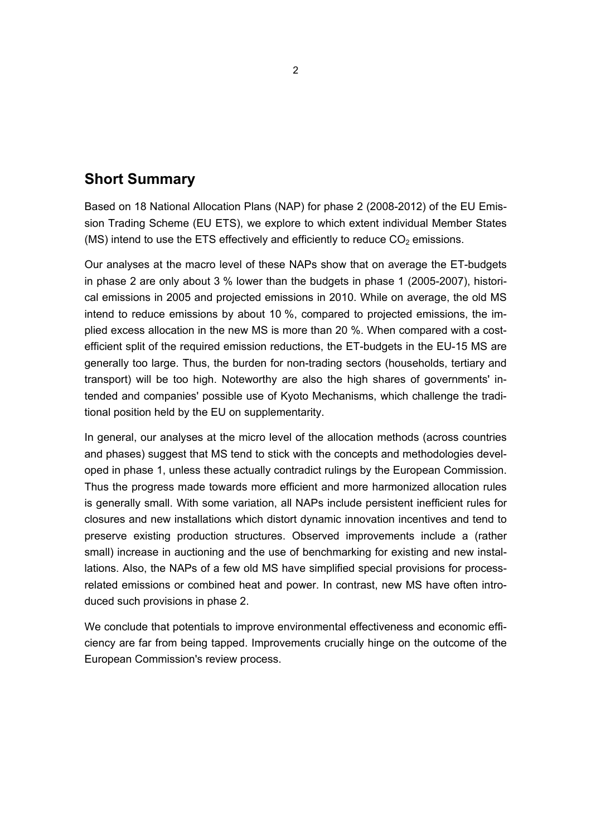# **Short Summary**

Based on 18 National Allocation Plans (NAP) for phase 2 (2008-2012) of the EU Emission Trading Scheme (EU ETS), we explore to which extent individual Member States (MS) intend to use the ETS effectively and efficiently to reduce  $CO<sub>2</sub>$  emissions.

Our analyses at the macro level of these NAPs show that on average the ET-budgets in phase 2 are only about 3 % lower than the budgets in phase 1 (2005-2007), historical emissions in 2005 and projected emissions in 2010. While on average, the old MS intend to reduce emissions by about 10 %, compared to projected emissions, the implied excess allocation in the new MS is more than 20 %. When compared with a costefficient split of the required emission reductions, the ET-budgets in the EU-15 MS are generally too large. Thus, the burden for non-trading sectors (households, tertiary and transport) will be too high. Noteworthy are also the high shares of governments' intended and companies' possible use of Kyoto Mechanisms, which challenge the traditional position held by the EU on supplementarity.

In general, our analyses at the micro level of the allocation methods (across countries and phases) suggest that MS tend to stick with the concepts and methodologies developed in phase 1, unless these actually contradict rulings by the European Commission. Thus the progress made towards more efficient and more harmonized allocation rules is generally small. With some variation, all NAPs include persistent inefficient rules for closures and new installations which distort dynamic innovation incentives and tend to preserve existing production structures. Observed improvements include a (rather small) increase in auctioning and the use of benchmarking for existing and new installations. Also, the NAPs of a few old MS have simplified special provisions for processrelated emissions or combined heat and power. In contrast, new MS have often introduced such provisions in phase 2.

We conclude that potentials to improve environmental effectiveness and economic efficiency are far from being tapped. Improvements crucially hinge on the outcome of the European Commission's review process.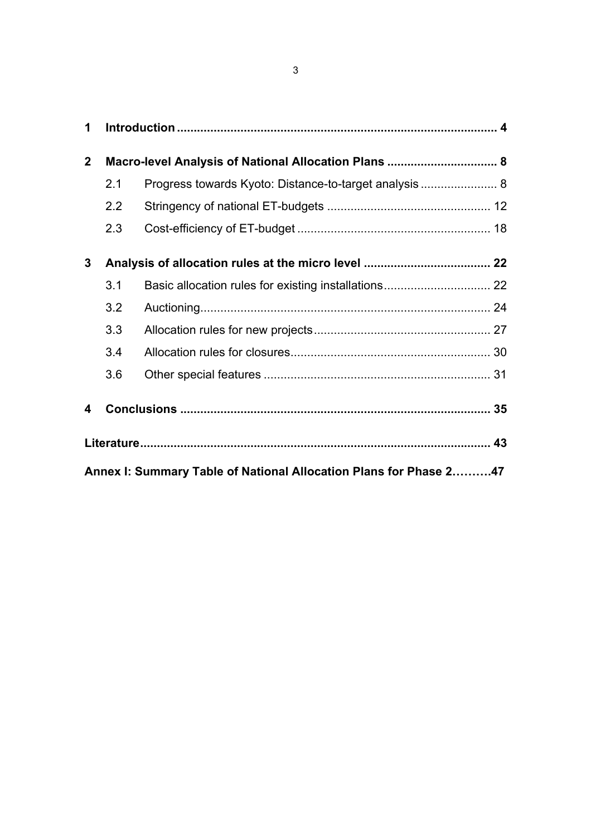| 1                |                                                                   |                                                       |  |  |  |  |  |  |  |  |  |  |
|------------------|-------------------------------------------------------------------|-------------------------------------------------------|--|--|--|--|--|--|--|--|--|--|
| $\boldsymbol{2}$ | Macro-level Analysis of National Allocation Plans  8              |                                                       |  |  |  |  |  |  |  |  |  |  |
|                  | 2.1                                                               | Progress towards Kyoto: Distance-to-target analysis 8 |  |  |  |  |  |  |  |  |  |  |
|                  | 2.2                                                               |                                                       |  |  |  |  |  |  |  |  |  |  |
|                  | 2.3                                                               |                                                       |  |  |  |  |  |  |  |  |  |  |
| 3                |                                                                   |                                                       |  |  |  |  |  |  |  |  |  |  |
|                  | 3.1                                                               |                                                       |  |  |  |  |  |  |  |  |  |  |
|                  | 3.2                                                               |                                                       |  |  |  |  |  |  |  |  |  |  |
|                  | 3.3                                                               |                                                       |  |  |  |  |  |  |  |  |  |  |
|                  | 3.4                                                               |                                                       |  |  |  |  |  |  |  |  |  |  |
|                  | 3.6                                                               |                                                       |  |  |  |  |  |  |  |  |  |  |
| 4                |                                                                   |                                                       |  |  |  |  |  |  |  |  |  |  |
|                  |                                                                   |                                                       |  |  |  |  |  |  |  |  |  |  |
|                  | Annex I: Summary Table of National Allocation Plans for Phase 247 |                                                       |  |  |  |  |  |  |  |  |  |  |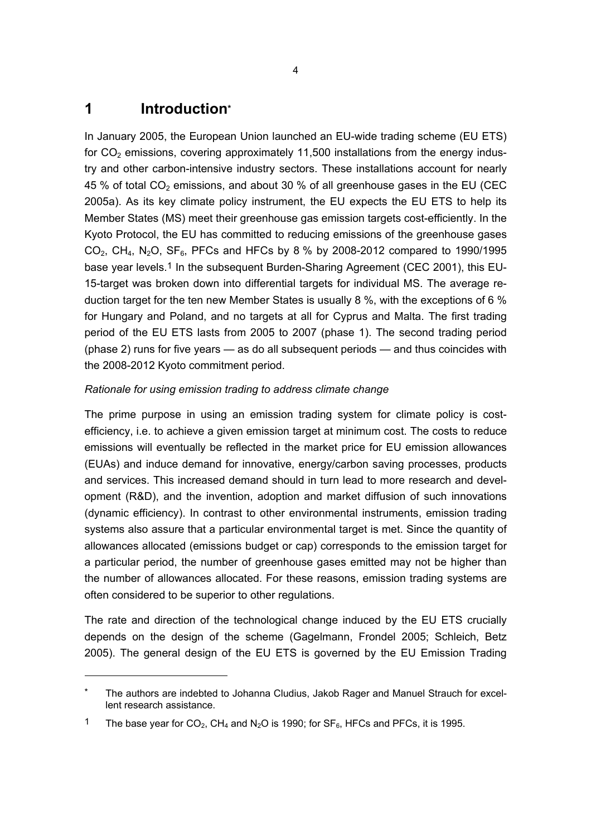# **1 Introduction\***

 $\overline{a}$ 

In January 2005, the European Union launched an EU-wide trading scheme (EU ETS) for  $CO<sub>2</sub>$  emissions, covering approximately 11,500 installations from the energy industry and other carbon-intensive industry sectors. These installations account for nearly 45 % of total  $CO<sub>2</sub>$  emissions, and about 30 % of all greenhouse gases in the EU (CEC 2005a). As its key climate policy instrument, the EU expects the EU ETS to help its Member States (MS) meet their greenhouse gas emission targets cost-efficiently. In the Kyoto Protocol, the EU has committed to reducing emissions of the greenhouse gases  $CO_2$ , CH<sub>4</sub>, N<sub>2</sub>O, SF<sub>6</sub>, PFCs and HFCs by 8 % by 2008-2012 compared to 1990/1995 base year levels.<sup>1</sup> In the subsequent Burden-Sharing Agreement (CEC 2001), this EU-15-target was broken down into differential targets for individual MS. The average reduction target for the ten new Member States is usually 8 %, with the exceptions of 6 % for Hungary and Poland, and no targets at all for Cyprus and Malta. The first trading period of the EU ETS lasts from 2005 to 2007 (phase 1). The second trading period (phase 2) runs for five years — as do all subsequent periods — and thus coincides with the 2008-2012 Kyoto commitment period.

### *Rationale for using emission trading to address climate change*

The prime purpose in using an emission trading system for climate policy is costefficiency, i.e. to achieve a given emission target at minimum cost. The costs to reduce emissions will eventually be reflected in the market price for EU emission allowances (EUAs) and induce demand for innovative, energy/carbon saving processes, products and services. This increased demand should in turn lead to more research and development (R&D), and the invention, adoption and market diffusion of such innovations (dynamic efficiency). In contrast to other environmental instruments, emission trading systems also assure that a particular environmental target is met. Since the quantity of allowances allocated (emissions budget or cap) corresponds to the emission target for a particular period, the number of greenhouse gases emitted may not be higher than the number of allowances allocated. For these reasons, emission trading systems are often considered to be superior to other regulations.

The rate and direction of the technological change induced by the EU ETS crucially depends on the design of the scheme (Gagelmann, Frondel 2005; Schleich, Betz 2005). The general design of the EU ETS is governed by the EU Emission Trading

The authors are indebted to Johanna Cludius, Jakob Rager and Manuel Strauch for excellent research assistance.

<sup>&</sup>lt;sup>1</sup> The base year for  $CO_2$ ,  $CH_4$  and  $N_2O$  is 1990; for  $SF_6$ , HFCs and PFCs, it is 1995.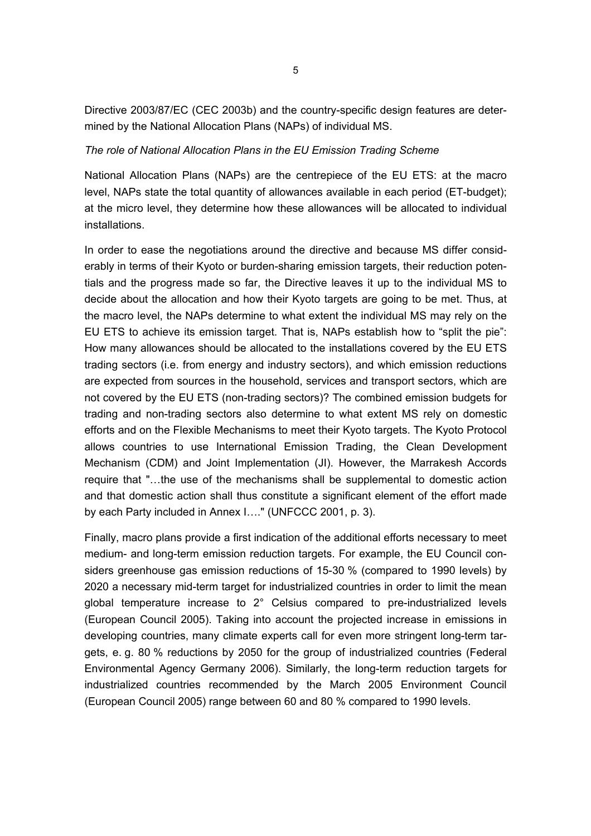Directive 2003/87/EC (CEC 2003b) and the country-specific design features are determined by the National Allocation Plans (NAPs) of individual MS.

#### *The role of National Allocation Plans in the EU Emission Trading Scheme*

National Allocation Plans (NAPs) are the centrepiece of the EU ETS: at the macro level, NAPs state the total quantity of allowances available in each period (ET-budget); at the micro level, they determine how these allowances will be allocated to individual installations.

In order to ease the negotiations around the directive and because MS differ considerably in terms of their Kyoto or burden-sharing emission targets, their reduction potentials and the progress made so far, the Directive leaves it up to the individual MS to decide about the allocation and how their Kyoto targets are going to be met. Thus, at the macro level, the NAPs determine to what extent the individual MS may rely on the EU ETS to achieve its emission target. That is, NAPs establish how to "split the pie": How many allowances should be allocated to the installations covered by the EU ETS trading sectors (i.e. from energy and industry sectors), and which emission reductions are expected from sources in the household, services and transport sectors, which are not covered by the EU ETS (non-trading sectors)? The combined emission budgets for trading and non-trading sectors also determine to what extent MS rely on domestic efforts and on the Flexible Mechanisms to meet their Kyoto targets. The Kyoto Protocol allows countries to use International Emission Trading, the Clean Development Mechanism (CDM) and Joint Implementation (JI). However, the Marrakesh Accords require that "…the use of the mechanisms shall be supplemental to domestic action and that domestic action shall thus constitute a significant element of the effort made by each Party included in Annex I…." (UNFCCC 2001, p. 3).

Finally, macro plans provide a first indication of the additional efforts necessary to meet medium- and long-term emission reduction targets. For example, the EU Council considers greenhouse gas emission reductions of 15-30 % (compared to 1990 levels) by 2020 a necessary mid-term target for industrialized countries in order to limit the mean global temperature increase to 2° Celsius compared to pre-industrialized levels (European Council 2005). Taking into account the projected increase in emissions in developing countries, many climate experts call for even more stringent long-term targets, e. g. 80 % reductions by 2050 for the group of industrialized countries (Federal Environmental Agency Germany 2006). Similarly, the long-term reduction targets for industrialized countries recommended by the March 2005 Environment Council (European Council 2005) range between 60 and 80 % compared to 1990 levels.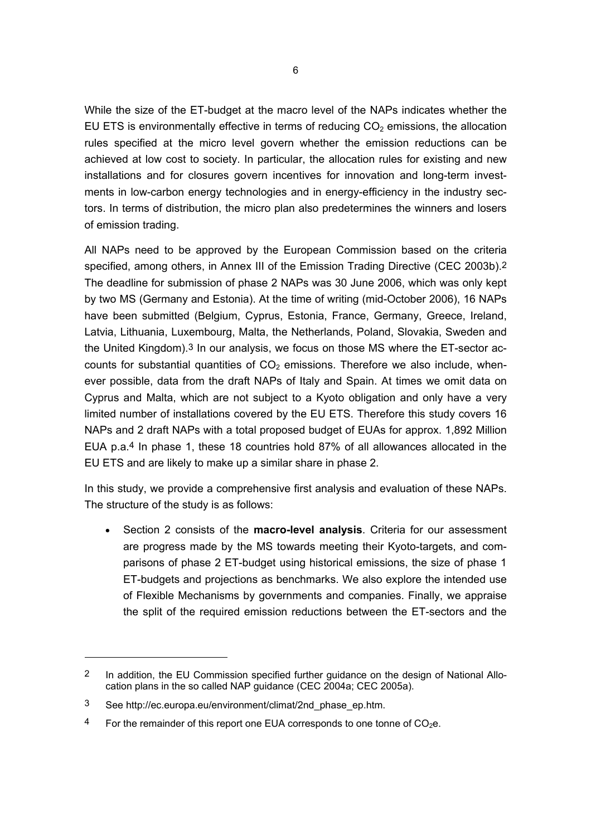While the size of the ET-budget at the macro level of the NAPs indicates whether the EU ETS is environmentally effective in terms of reducing  $CO<sub>2</sub>$  emissions, the allocation rules specified at the micro level govern whether the emission reductions can be achieved at low cost to society. In particular, the allocation rules for existing and new installations and for closures govern incentives for innovation and long-term investments in low-carbon energy technologies and in energy-efficiency in the industry sectors. In terms of distribution, the micro plan also predetermines the winners and losers of emission trading.

All NAPs need to be approved by the European Commission based on the criteria specified, among others, in Annex III of the Emission Trading Directive (CEC 2003b).<sup>2</sup> The deadline for submission of phase 2 NAPs was 30 June 2006, which was only kept by two MS (Germany and Estonia). At the time of writing (mid-October 2006), 16 NAPs have been submitted (Belgium, Cyprus, Estonia, France, Germany, Greece, Ireland, Latvia, Lithuania, Luxembourg, Malta, the Netherlands, Poland, Slovakia, Sweden and the United Kingdom).3 In our analysis, we focus on those MS where the ET-sector accounts for substantial quantities of  $CO<sub>2</sub>$  emissions. Therefore we also include, whenever possible, data from the draft NAPs of Italy and Spain. At times we omit data on Cyprus and Malta, which are not subject to a Kyoto obligation and only have a very limited number of installations covered by the EU ETS. Therefore this study covers 16 NAPs and 2 draft NAPs with a total proposed budget of EUAs for approx. 1,892 Million EUA p.a.4 In phase 1, these 18 countries hold 87% of all allowances allocated in the EU ETS and are likely to make up a similar share in phase 2.

In this study, we provide a comprehensive first analysis and evaluation of these NAPs. The structure of the study is as follows:

• Section 2 consists of the **macro-level analysis**. Criteria for our assessment are progress made by the MS towards meeting their Kyoto-targets, and comparisons of phase 2 ET-budget using historical emissions, the size of phase 1 ET-budgets and projections as benchmarks. We also explore the intended use of Flexible Mechanisms by governments and companies. Finally, we appraise the split of the required emission reductions between the ET-sectors and the

<sup>2</sup> In addition, the EU Commission specified further guidance on the design of National Allocation plans in the so called NAP guidance (CEC 2004a; CEC 2005a).

<sup>3</sup> See http://ec.europa.eu/environment/climat/2nd\_phase\_ep.htm.

<sup>&</sup>lt;sup>4</sup> For the remainder of this report one EUA corresponds to one tonne of  $CO<sub>2</sub>e$ .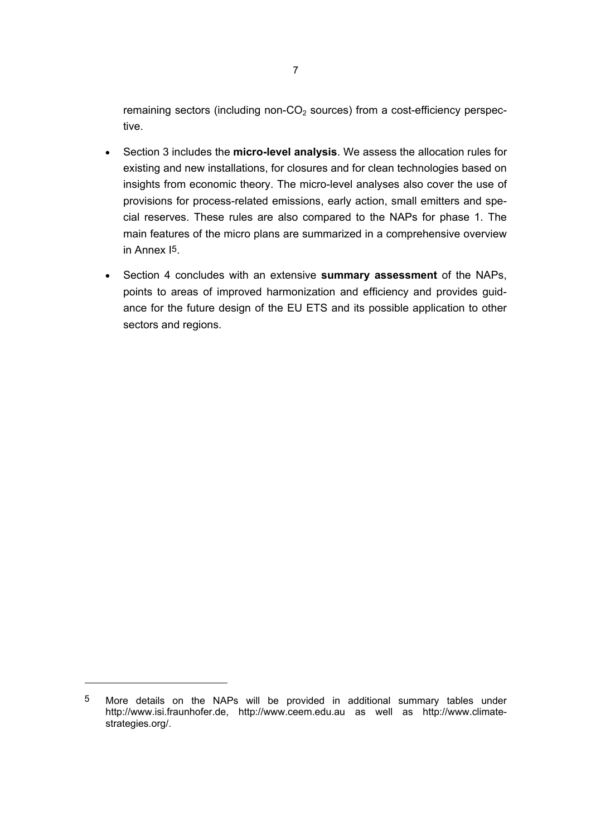remaining sectors (including non- $CO<sub>2</sub>$  sources) from a cost-efficiency perspective.

- Section 3 includes the **micro-level analysis**. We assess the allocation rules for existing and new installations, for closures and for clean technologies based on insights from economic theory. The micro-level analyses also cover the use of provisions for process-related emissions, early action, small emitters and special reserves. These rules are also compared to the NAPs for phase 1. The main features of the micro plans are summarized in a comprehensive overview in Annex I5.
- Section 4 concludes with an extensive **summary assessment** of the NAPs, points to areas of improved harmonization and efficiency and provides guidance for the future design of the EU ETS and its possible application to other sectors and regions.

 $\overline{a}$ 

<sup>5</sup> More details on the NAPs will be provided in additional summary tables under http://www.isi.fraunhofer.de, http://www.ceem.edu.au as well as http://www.climatestrategies.org/.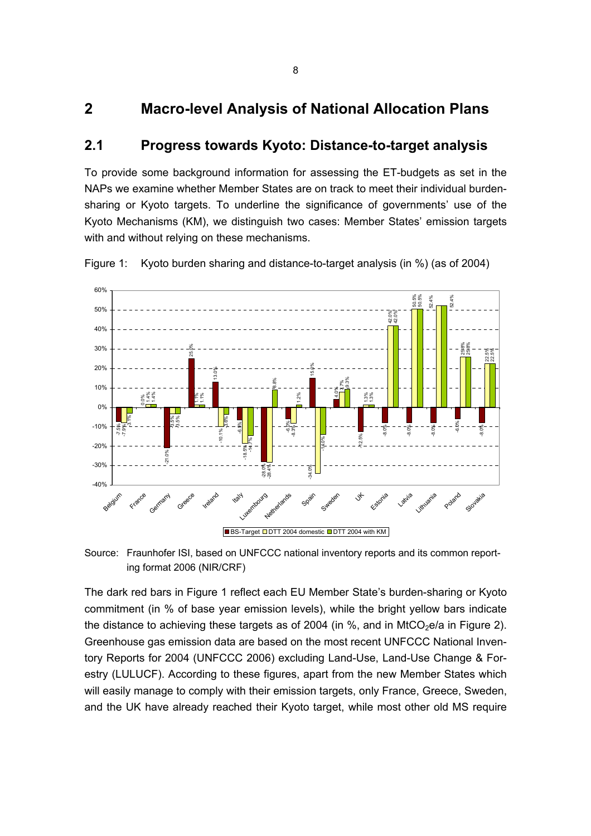# **2 Macro-level Analysis of National Allocation Plans**

### **2.1 Progress towards Kyoto: Distance-to-target analysis**

To provide some background information for assessing the ET-budgets as set in the NAPs we examine whether Member States are on track to meet their individual burdensharing or Kyoto targets. To underline the significance of governments' use of the Kyoto Mechanisms (KM), we distinguish two cases: Member States' emission targets with and without relying on these mechanisms.

Figure 1: Kyoto burden sharing and distance-to-target analysis (in %) (as of 2004)



Source: Fraunhofer ISI, based on UNFCCC national inventory reports and its common reporting format 2006 (NIR/CRF)

The dark red bars in Figure 1 reflect each EU Member State's burden-sharing or Kyoto commitment (in % of base year emission levels), while the bright yellow bars indicate the distance to achieving these targets as of 2004 (in %, and in MtCO<sub>2</sub>e/a in Figure 2). Greenhouse gas emission data are based on the most recent UNFCCC National Inventory Reports for 2004 (UNFCCC 2006) excluding Land-Use, Land-Use Change & Forestry (LULUCF). According to these figures, apart from the new Member States which will easily manage to comply with their emission targets, only France, Greece, Sweden, and the UK have already reached their Kyoto target, while most other old MS require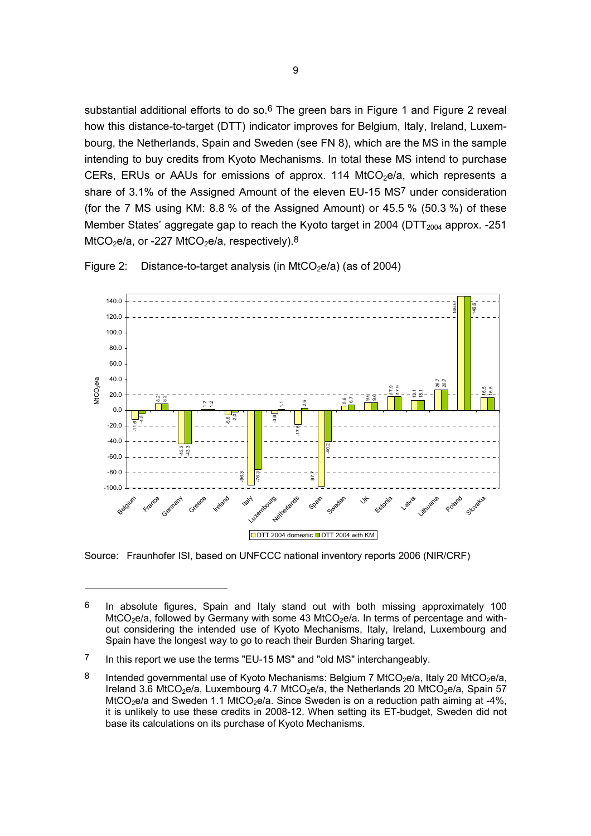substantial additional efforts to do so.<sup>6</sup> The green bars in Figure 1 and Figure 2 reveal how this distance-to-target (DTT) indicator improves for Belgium, Italy, Ireland, Luxembourg, the Netherlands, Spain and Sweden (see FN 8), which are the MS in the sample intending to buy credits from Kyoto Mechanisms. In total these MS intend to purchase CERs, ERUs or AAUs for emissions of approx. 114 MtCO<sub>2</sub>e/a, which represents a share of 3.1% of the Assigned Amount of the eleven EU-15 MS7 under consideration (for the 7 MS using KM: 8.8 % of the Assigned Amount) or 45.5 % (50.3 %) of these Member States' aggregate gap to reach the Kyoto target in 2004 ( $DTT<sub>2004</sub>$  approx. -251  $MtCO<sub>2</sub>e/a$ , or -227  $MtCO<sub>2</sub>e/a$ , respectively).<sup>8</sup>



Figure 2: Distance-to-target analysis (in MtCO<sub>2</sub>e/a) (as of 2004)

Source: Fraunhofer ISI, based on UNFCCC national inventory reports 2006 (NIR/CRF)

<sup>6</sup> In absolute figures, Spain and Italy stand out with both missing approximately 100  $M<sub>CO</sub>2e/a$ , followed by Germany with some 43 MtCO $2e/a$ . In terms of percentage and without considering the intended use of Kyoto Mechanisms, Italy, Ireland, Luxembourg and Spain have the longest way to go to reach their Burden Sharing target.

<sup>7</sup> In this report we use the terms "EU-15 MS" and "old MS" interchangeably.

<sup>8</sup> Intended governmental use of Kyoto Mechanisms: Belgium 7 MtCO<sub>2</sub>e/a, Italy 20 MtCO<sub>2</sub>e/a, Ireland 3.6 MtCO<sub>2</sub>e/a, Luxembourg 4.7 MtCO<sub>2</sub>e/a, the Netherlands 20 MtCO<sub>2</sub>e/a, Spain 57 MtCO<sub>2</sub>e/a and Sweden 1.1 MtCO<sub>2</sub>e/a. Since Sweden is on a reduction path aiming at -4%, it is unlikely to use these credits in 2008-12. When setting its ET-budget, Sweden did not base its calculations on its purchase of Kyoto Mechanisms.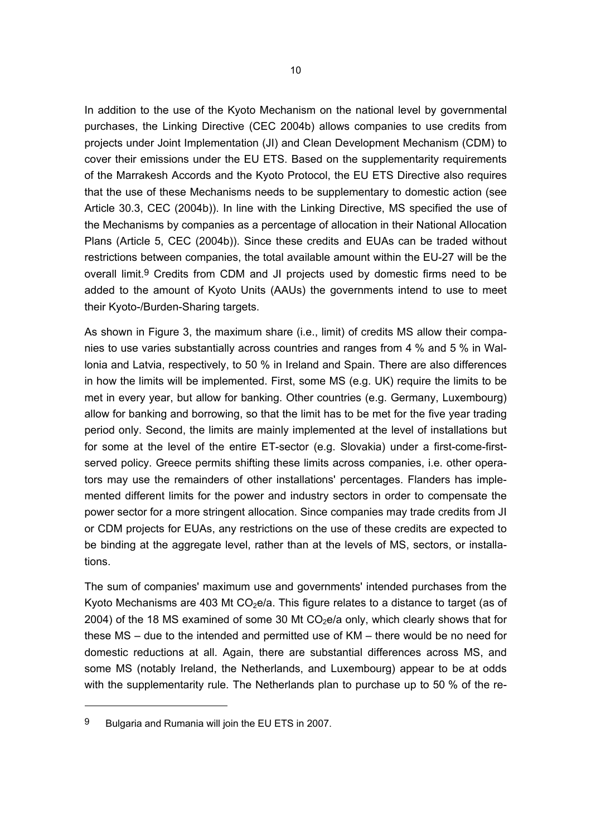In addition to the use of the Kyoto Mechanism on the national level by governmental purchases, the Linking Directive (CEC 2004b) allows companies to use credits from projects under Joint Implementation (JI) and Clean Development Mechanism (CDM) to cover their emissions under the EU ETS. Based on the supplementarity requirements of the Marrakesh Accords and the Kyoto Protocol, the EU ETS Directive also requires that the use of these Mechanisms needs to be supplementary to domestic action (see Article 30.3, CEC (2004b)). In line with the Linking Directive, MS specified the use of the Mechanisms by companies as a percentage of allocation in their National Allocation Plans (Article 5, CEC (2004b)). Since these credits and EUAs can be traded without restrictions between companies, the total available amount within the EU-27 will be the overall limit.9 Credits from CDM and JI projects used by domestic firms need to be added to the amount of Kyoto Units (AAUs) the governments intend to use to meet their Kyoto-/Burden-Sharing targets.

As shown in Figure 3, the maximum share (i.e., limit) of credits MS allow their companies to use varies substantially across countries and ranges from 4 % and 5 % in Wallonia and Latvia, respectively, to 50 % in Ireland and Spain. There are also differences in how the limits will be implemented. First, some MS (e.g. UK) require the limits to be met in every year, but allow for banking. Other countries (e.g. Germany, Luxembourg) allow for banking and borrowing, so that the limit has to be met for the five year trading period only. Second, the limits are mainly implemented at the level of installations but for some at the level of the entire ET-sector (e.g. Slovakia) under a first-come-firstserved policy. Greece permits shifting these limits across companies, i.e. other operators may use the remainders of other installations' percentages. Flanders has implemented different limits for the power and industry sectors in order to compensate the power sector for a more stringent allocation. Since companies may trade credits from JI or CDM projects for EUAs, any restrictions on the use of these credits are expected to be binding at the aggregate level, rather than at the levels of MS, sectors, or installations.

The sum of companies' maximum use and governments' intended purchases from the Kyoto Mechanisms are 403 Mt  $CO<sub>2</sub>e/a$ . This figure relates to a distance to target (as of 2004) of the 18 MS examined of some 30 Mt  $CO<sub>2</sub>e/a$  only, which clearly shows that for these MS – due to the intended and permitted use of KM – there would be no need for domestic reductions at all. Again, there are substantial differences across MS, and some MS (notably Ireland, the Netherlands, and Luxembourg) appear to be at odds with the supplementarity rule. The Netherlands plan to purchase up to 50 % of the re-

 $\overline{a}$ 

<sup>9</sup> Bulgaria and Rumania will join the EU ETS in 2007.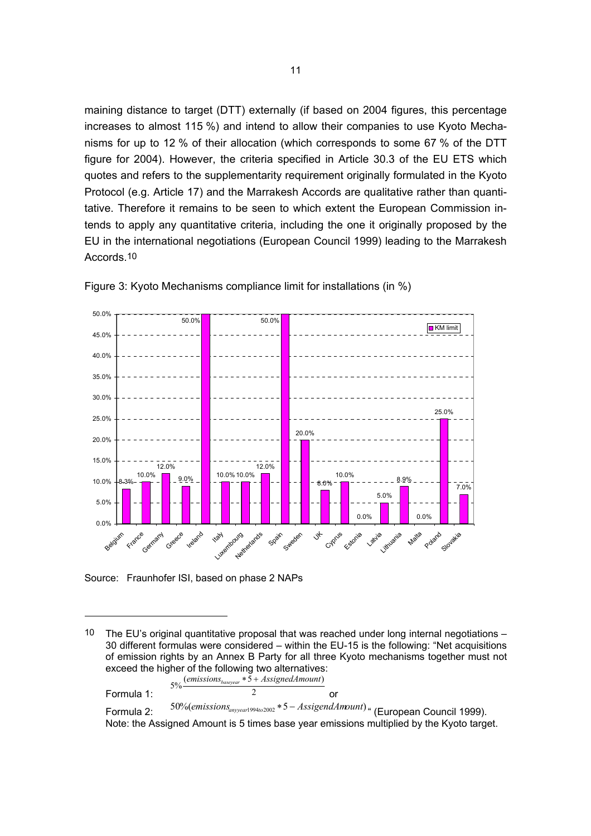maining distance to target (DTT) externally (if based on 2004 figures, this percentage increases to almost 115 %) and intend to allow their companies to use Kyoto Mechanisms for up to 12 % of their allocation (which corresponds to some 67 % of the DTT figure for 2004). However, the criteria specified in Article 30.3 of the EU ETS which quotes and refers to the supplementarity requirement originally formulated in the Kyoto Protocol (e.g. Article 17) and the Marrakesh Accords are qualitative rather than quantitative. Therefore it remains to be seen to which extent the European Commission intends to apply any quantitative criteria, including the one it originally proposed by the EU in the international negotiations (European Council 1999) leading to the Marrakesh Accords.10



Figure 3: Kyoto Mechanisms compliance limit for installations (in %)

Source: Fraunhofer ISI, based on phase 2 NAPs

 $\overline{a}$ 

Formula 1:  $2^{\frac{3}{2}}$  $5\%$ <sup>(</sup>  $\frac{(emissions_{baseyear} * 5 + AssignedAmount)}{2}$  or Formula 2: <sup>50% (emissions<sub>amyear1994</sup> <sup>2002</sup> \*<sup>5</sup> − AssigendAmount) <sup>a</sup> (European Council 1999).</sup></sub> Note: the Assigned Amount is 5 times base year emissions multiplied by the Kyoto target.

<sup>10</sup> The EU's original quantitative proposal that was reached under long internal negotiations  $-$ 30 different formulas were considered – within the EU-15 is the following: "Net acquisitions of emission rights by an Annex B Party for all three Kyoto mechanisms together must not exceed the higher of the following two alternatives: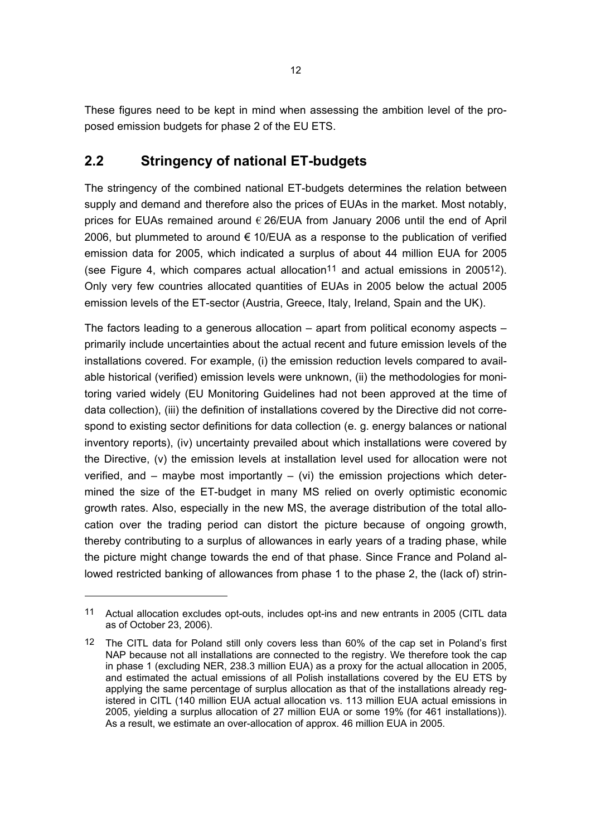These figures need to be kept in mind when assessing the ambition level of the proposed emission budgets for phase 2 of the EU ETS.

# **2.2 Stringency of national ET-budgets**

The stringency of the combined national ET-budgets determines the relation between supply and demand and therefore also the prices of EUAs in the market. Most notably, prices for EUAs remained around  $\epsilon$  26/EUA from January 2006 until the end of April 2006, but plummeted to around  $\epsilon$  10/EUA as a response to the publication of verified emission data for 2005, which indicated a surplus of about 44 million EUA for 2005 (see Figure 4, which compares actual allocation<sup>11</sup> and actual emissions in 2005<sup>12</sup>). Only very few countries allocated quantities of EUAs in 2005 below the actual 2005 emission levels of the ET-sector (Austria, Greece, Italy, Ireland, Spain and the UK).

The factors leading to a generous allocation – apart from political economy aspects – primarily include uncertainties about the actual recent and future emission levels of the installations covered. For example, (i) the emission reduction levels compared to available historical (verified) emission levels were unknown, (ii) the methodologies for monitoring varied widely (EU Monitoring Guidelines had not been approved at the time of data collection), (iii) the definition of installations covered by the Directive did not correspond to existing sector definitions for data collection (e. g. energy balances or national inventory reports), (iv) uncertainty prevailed about which installations were covered by the Directive, (v) the emission levels at installation level used for allocation were not verified, and  $-$  maybe most importantly  $-$  (vi) the emission projections which determined the size of the ET-budget in many MS relied on overly optimistic economic growth rates. Also, especially in the new MS, the average distribution of the total allocation over the trading period can distort the picture because of ongoing growth, thereby contributing to a surplus of allowances in early years of a trading phase, while the picture might change towards the end of that phase. Since France and Poland allowed restricted banking of allowances from phase 1 to the phase 2, the (lack of) strin-

<sup>11</sup> Actual allocation excludes opt-outs, includes opt-ins and new entrants in 2005 (CITL data as of October 23, 2006).

<sup>12</sup> The CITL data for Poland still only covers less than 60% of the cap set in Poland's first NAP because not all installations are connected to the registry. We therefore took the cap in phase 1 (excluding NER, 238.3 million EUA) as a proxy for the actual allocation in 2005, and estimated the actual emissions of all Polish installations covered by the EU ETS by applying the same percentage of surplus allocation as that of the installations already registered in CITL (140 million EUA actual allocation vs. 113 million EUA actual emissions in 2005, yielding a surplus allocation of 27 million EUA or some 19% (for 461 installations)). As a result, we estimate an over-allocation of approx. 46 million EUA in 2005.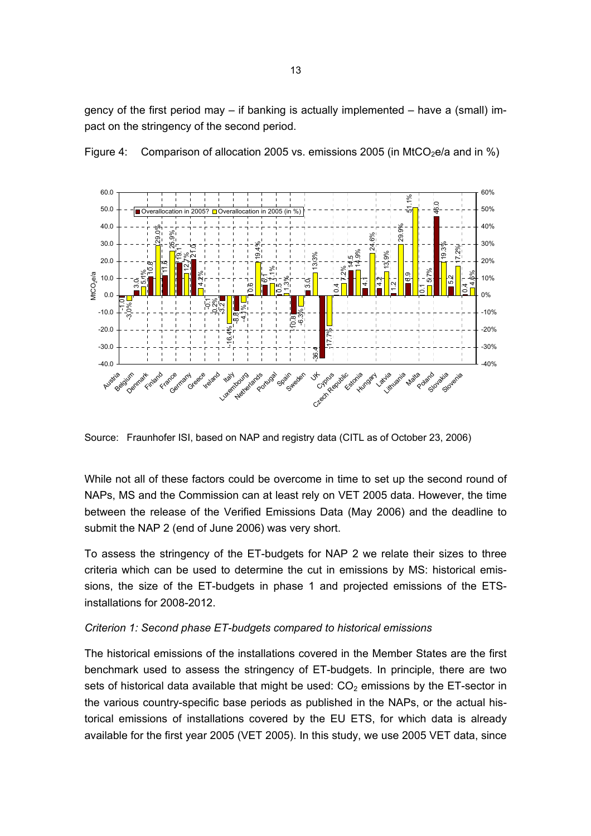gency of the first period may – if banking is actually implemented – have a (small) impact on the stringency of the second period.



Figure 4: Comparison of allocation 2005 vs. emissions 2005 (in MtCO<sub>2</sub>e/a and in %)

Source: Fraunhofer ISI, based on NAP and registry data (CITL as of October 23, 2006)

While not all of these factors could be overcome in time to set up the second round of NAPs, MS and the Commission can at least rely on VET 2005 data. However, the time between the release of the Verified Emissions Data (May 2006) and the deadline to submit the NAP 2 (end of June 2006) was very short.

To assess the stringency of the ET-budgets for NAP 2 we relate their sizes to three criteria which can be used to determine the cut in emissions by MS: historical emissions, the size of the ET-budgets in phase 1 and projected emissions of the ETSinstallations for 2008-2012.

#### *Criterion 1: Second phase ET-budgets compared to historical emissions*

The historical emissions of the installations covered in the Member States are the first benchmark used to assess the stringency of ET-budgets. In principle, there are two sets of historical data available that might be used:  $CO<sub>2</sub>$  emissions by the ET-sector in the various country-specific base periods as published in the NAPs, or the actual historical emissions of installations covered by the EU ETS, for which data is already available for the first year 2005 (VET 2005). In this study, we use 2005 VET data, since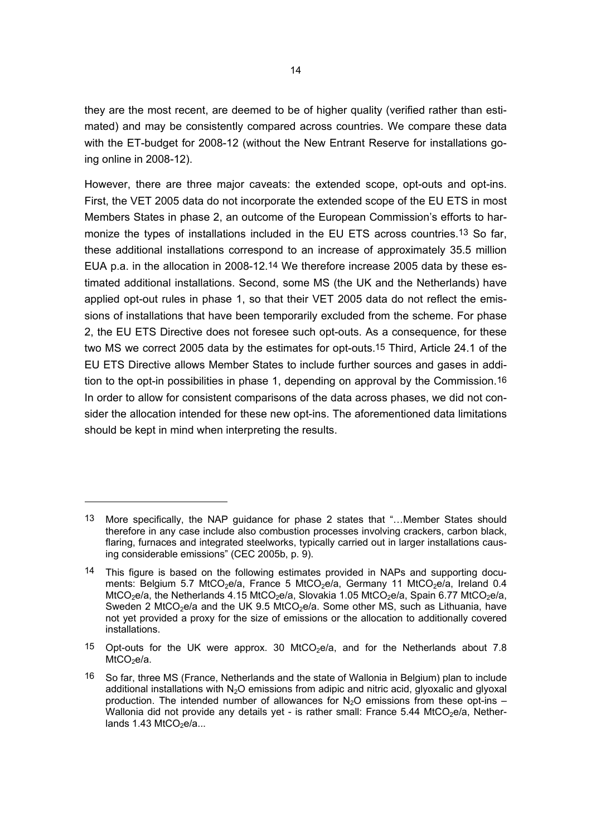they are the most recent, are deemed to be of higher quality (verified rather than estimated) and may be consistently compared across countries. We compare these data with the ET-budget for 2008-12 (without the New Entrant Reserve for installations going online in 2008-12).

However, there are three major caveats: the extended scope, opt-outs and opt-ins. First, the VET 2005 data do not incorporate the extended scope of the EU ETS in most Members States in phase 2, an outcome of the European Commission's efforts to harmonize the types of installations included in the EU ETS across countries.13 So far, these additional installations correspond to an increase of approximately 35.5 million EUA p.a. in the allocation in 2008-12.14 We therefore increase 2005 data by these estimated additional installations. Second, some MS (the UK and the Netherlands) have applied opt-out rules in phase 1, so that their VET 2005 data do not reflect the emissions of installations that have been temporarily excluded from the scheme. For phase 2, the EU ETS Directive does not foresee such opt-outs. As a consequence, for these two MS we correct 2005 data by the estimates for opt-outs.15 Third, Article 24.1 of the EU ETS Directive allows Member States to include further sources and gases in addition to the opt-in possibilities in phase 1, depending on approval by the Commission.16 In order to allow for consistent comparisons of the data across phases, we did not consider the allocation intended for these new opt-ins. The aforementioned data limitations should be kept in mind when interpreting the results.

 $\overline{a}$ 

<sup>13</sup> More specifically, the NAP guidance for phase 2 states that "…Member States should therefore in any case include also combustion processes involving crackers, carbon black, flaring, furnaces and integrated steelworks, typically carried out in larger installations causing considerable emissions" (CEC 2005b, p. 9).

<sup>14</sup> This figure is based on the following estimates provided in NAPs and supporting documents: Belgium 5.7 MtCO<sub>2</sub>e/a, France 5 MtCO<sub>2</sub>e/a, Germany 11 MtCO<sub>2</sub>e/a, Ireland 0.4 MtCO<sub>2</sub>e/a, the Netherlands 4.15 MtCO<sub>2</sub>e/a, Slovakia 1.05 MtCO<sub>2</sub>e/a, Spain 6.77 MtCO<sub>2</sub>e/a, Sweden 2 MtCO<sub>2</sub>e/a and the UK 9.5 MtCO<sub>2</sub>e/a. Some other MS, such as Lithuania, have not yet provided a proxy for the size of emissions or the allocation to additionally covered installations.

<sup>15</sup> Opt-outs for the UK were approx. 30 MtCO<sub>2</sub>e/a, and for the Netherlands about 7.8  $MtCO<sub>2</sub>e/a$ .

<sup>16</sup> So far, three MS (France, Netherlands and the state of Wallonia in Belgium) plan to include additional installations with  $N_2O$  emissions from adipic and nitric acid, glyoxalic and glyoxal production. The intended number of allowances for  $N_2O$  emissions from these opt-ins – Wallonia did not provide any details yet - is rather small: France  $5.44$  MtCO<sub>2</sub>e/a, Netherlands  $1.43$  MtCO<sub>2</sub>e/a...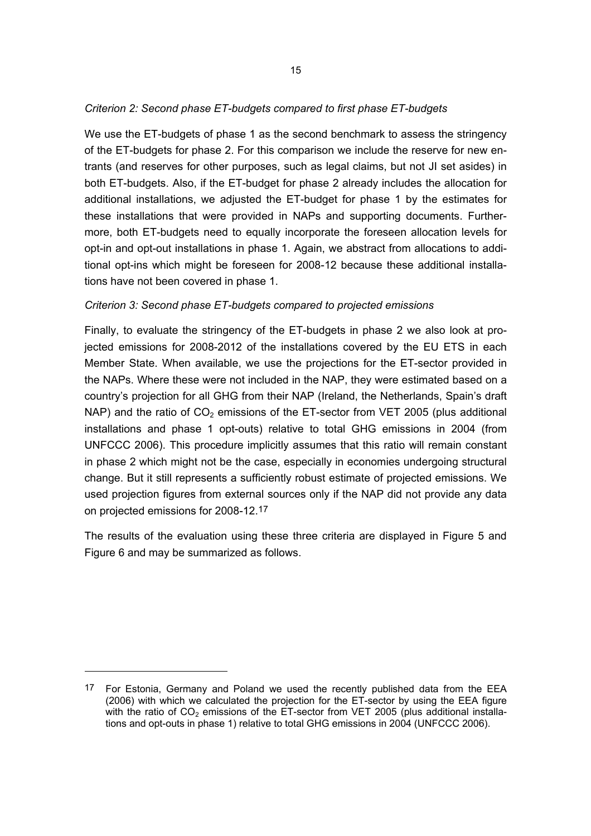#### *Criterion 2: Second phase ET-budgets compared to first phase ET-budgets*

We use the ET-budgets of phase 1 as the second benchmark to assess the stringency of the ET-budgets for phase 2. For this comparison we include the reserve for new entrants (and reserves for other purposes, such as legal claims, but not JI set asides) in both ET-budgets. Also, if the ET-budget for phase 2 already includes the allocation for additional installations, we adjusted the ET-budget for phase 1 by the estimates for these installations that were provided in NAPs and supporting documents. Furthermore, both ET-budgets need to equally incorporate the foreseen allocation levels for opt-in and opt-out installations in phase 1. Again, we abstract from allocations to additional opt-ins which might be foreseen for 2008-12 because these additional installations have not been covered in phase 1.

#### *Criterion 3: Second phase ET-budgets compared to projected emissions*

Finally, to evaluate the stringency of the ET-budgets in phase 2 we also look at projected emissions for 2008-2012 of the installations covered by the EU ETS in each Member State. When available, we use the projections for the ET-sector provided in the NAPs. Where these were not included in the NAP, they were estimated based on a country's projection for all GHG from their NAP (Ireland, the Netherlands, Spain's draft NAP) and the ratio of  $CO<sub>2</sub>$  emissions of the ET-sector from VET 2005 (plus additional installations and phase 1 opt-outs) relative to total GHG emissions in 2004 (from UNFCCC 2006). This procedure implicitly assumes that this ratio will remain constant in phase 2 which might not be the case, especially in economies undergoing structural change. But it still represents a sufficiently robust estimate of projected emissions. We used projection figures from external sources only if the NAP did not provide any data on projected emissions for 2008-12.17

The results of the evaluation using these three criteria are displayed in Figure 5 and Figure 6 and may be summarized as follows.

 $\overline{a}$ 

<sup>17</sup> For Estonia, Germany and Poland we used the recently published data from the EEA (2006) with which we calculated the projection for the ET-sector by using the EEA figure with the ratio of  $CO<sub>2</sub>$  emissions of the ET-sector from VET 2005 (plus additional installations and opt-outs in phase 1) relative to total GHG emissions in 2004 (UNFCCC 2006).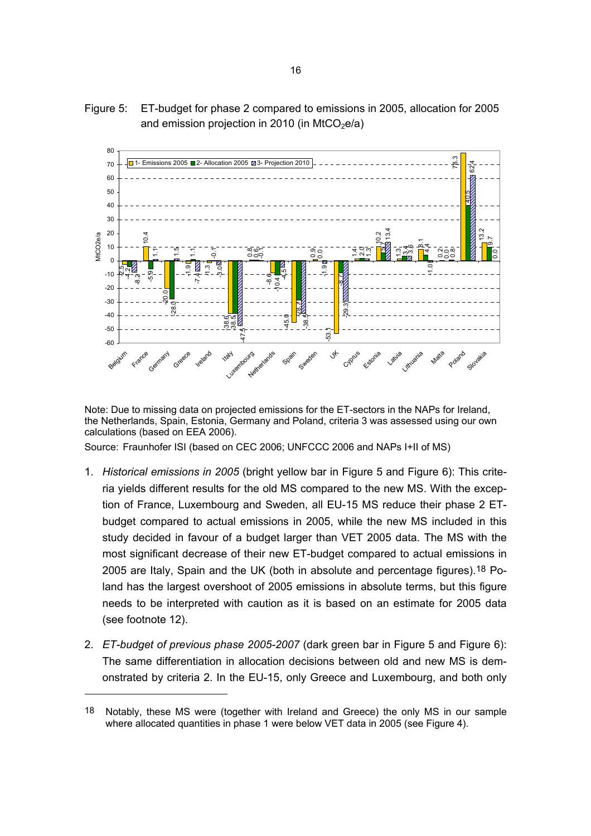

Figure 5: ET-budget for phase 2 compared to emissions in 2005, allocation for 2005 and emission projection in 2010 (in MtCO $_2$ e/a)

Note: Due to missing data on projected emissions for the ET-sectors in the NAPs for Ireland, the Netherlands, Spain, Estonia, Germany and Poland, criteria 3 was assessed using our own calculations (based on EEA 2006).

Source: Fraunhofer ISI (based on CEC 2006; UNFCCC 2006 and NAPs I+II of MS)

- 1. *Historical emissions in 2005* (bright yellow bar in Figure 5 and Figure 6): This criteria yields different results for the old MS compared to the new MS. With the exception of France, Luxembourg and Sweden, all EU-15 MS reduce their phase 2 ETbudget compared to actual emissions in 2005, while the new MS included in this study decided in favour of a budget larger than VET 2005 data. The MS with the most significant decrease of their new ET-budget compared to actual emissions in 2005 are Italy, Spain and the UK (both in absolute and percentage figures).18 Poland has the largest overshoot of 2005 emissions in absolute terms, but this figure needs to be interpreted with caution as it is based on an estimate for 2005 data (see footnote 12).
- 2. *ET-budget of previous phase 2005-2007* (dark green bar in Figure 5 and Figure 6): The same differentiation in allocation decisions between old and new MS is demonstrated by criteria 2. In the EU-15, only Greece and Luxembourg, and both only

<sup>18</sup> Notably, these MS were (together with Ireland and Greece) the only MS in our sample where allocated quantities in phase 1 were below VET data in 2005 (see Figure 4).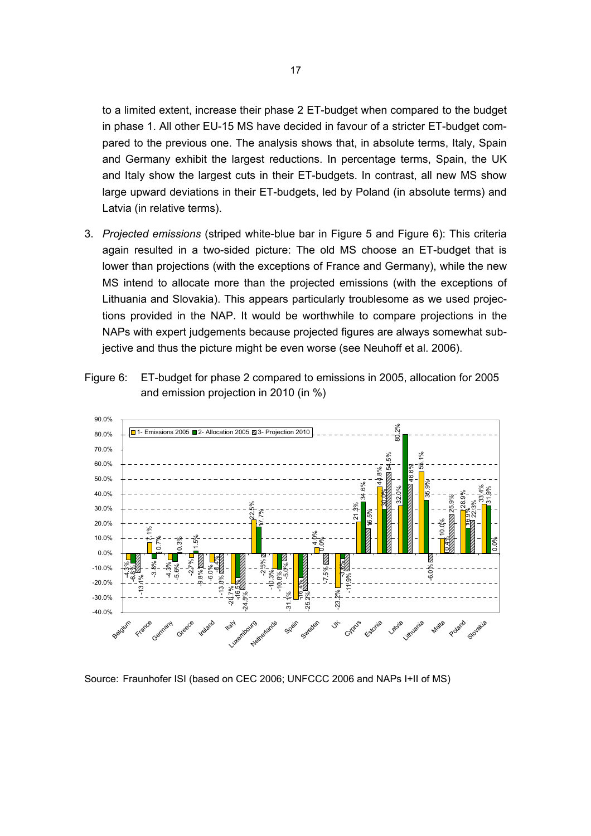to a limited extent, increase their phase 2 ET-budget when compared to the budget in phase 1. All other EU-15 MS have decided in favour of a stricter ET-budget compared to the previous one. The analysis shows that, in absolute terms, Italy, Spain and Germany exhibit the largest reductions. In percentage terms, Spain, the UK and Italy show the largest cuts in their ET-budgets. In contrast, all new MS show large upward deviations in their ET-budgets, led by Poland (in absolute terms) and Latvia (in relative terms).

3. *Projected emissions* (striped white-blue bar in Figure 5 and Figure 6): This criteria again resulted in a two-sided picture: The old MS choose an ET-budget that is lower than projections (with the exceptions of France and Germany), while the new MS intend to allocate more than the projected emissions (with the exceptions of Lithuania and Slovakia). This appears particularly troublesome as we used projections provided in the NAP. It would be worthwhile to compare projections in the NAPs with expert judgements because projected figures are always somewhat subjective and thus the picture might be even worse (see Neuhoff et al. 2006).



Figure 6: ET-budget for phase 2 compared to emissions in 2005, allocation for 2005 and emission projection in 2010 (in %)

Source: Fraunhofer ISI (based on CEC 2006; UNFCCC 2006 and NAPs I+II of MS)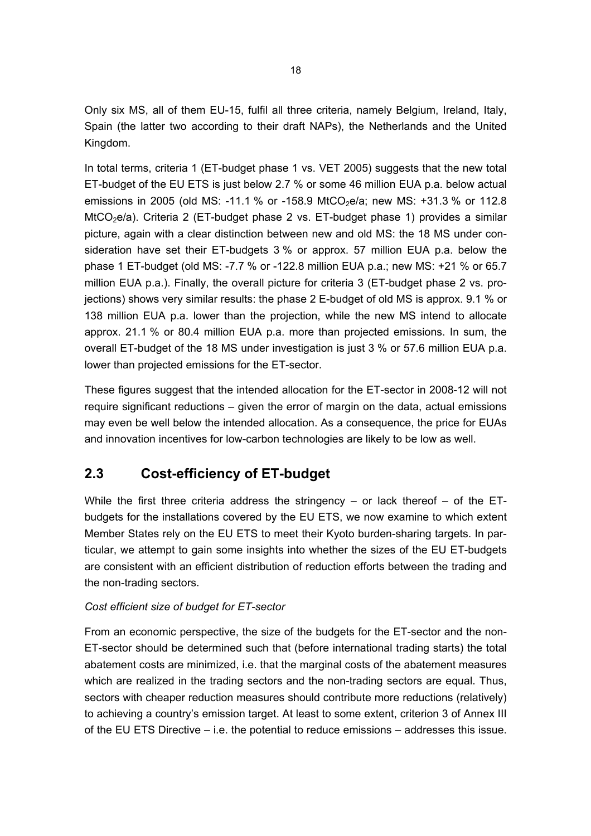Only six MS, all of them EU-15, fulfil all three criteria, namely Belgium, Ireland, Italy, Spain (the latter two according to their draft NAPs), the Netherlands and the United Kingdom.

In total terms, criteria 1 (ET-budget phase 1 vs. VET 2005) suggests that the new total ET-budget of the EU ETS is just below 2.7 % or some 46 million EUA p.a. below actual emissions in 2005 (old MS: -11.1 % or -158.9 MtCO<sub>2</sub>e/a; new MS: +31.3 % or 112.8 MtCO<sub>2</sub>e/a). Criteria 2 (ET-budget phase 2 vs. ET-budget phase 1) provides a similar picture, again with a clear distinction between new and old MS: the 18 MS under consideration have set their ET-budgets 3 % or approx. 57 million EUA p.a. below the phase 1 ET-budget (old MS: -7.7 % or -122.8 million EUA p.a.; new MS: +21 % or 65.7 million EUA p.a.). Finally, the overall picture for criteria 3 (ET-budget phase 2 vs. projections) shows very similar results: the phase 2 E-budget of old MS is approx. 9.1 % or 138 million EUA p.a. lower than the projection, while the new MS intend to allocate approx. 21.1 % or 80.4 million EUA p.a. more than projected emissions. In sum, the overall ET-budget of the 18 MS under investigation is just 3 % or 57.6 million EUA p.a. lower than projected emissions for the ET-sector.

These figures suggest that the intended allocation for the ET-sector in 2008-12 will not require significant reductions – given the error of margin on the data, actual emissions may even be well below the intended allocation. As a consequence, the price for EUAs and innovation incentives for low-carbon technologies are likely to be low as well.

# **2.3 Cost-efficiency of ET-budget**

While the first three criteria address the stringency – or lack thereof – of the ETbudgets for the installations covered by the EU ETS, we now examine to which extent Member States rely on the EU ETS to meet their Kyoto burden-sharing targets. In particular, we attempt to gain some insights into whether the sizes of the EU ET-budgets are consistent with an efficient distribution of reduction efforts between the trading and the non-trading sectors.

### *Cost efficient size of budget for ET-sector*

From an economic perspective, the size of the budgets for the ET-sector and the non-ET-sector should be determined such that (before international trading starts) the total abatement costs are minimized, i.e. that the marginal costs of the abatement measures which are realized in the trading sectors and the non-trading sectors are equal. Thus, sectors with cheaper reduction measures should contribute more reductions (relatively) to achieving a country's emission target. At least to some extent, criterion 3 of Annex III of the EU ETS Directive – i.e. the potential to reduce emissions – addresses this issue.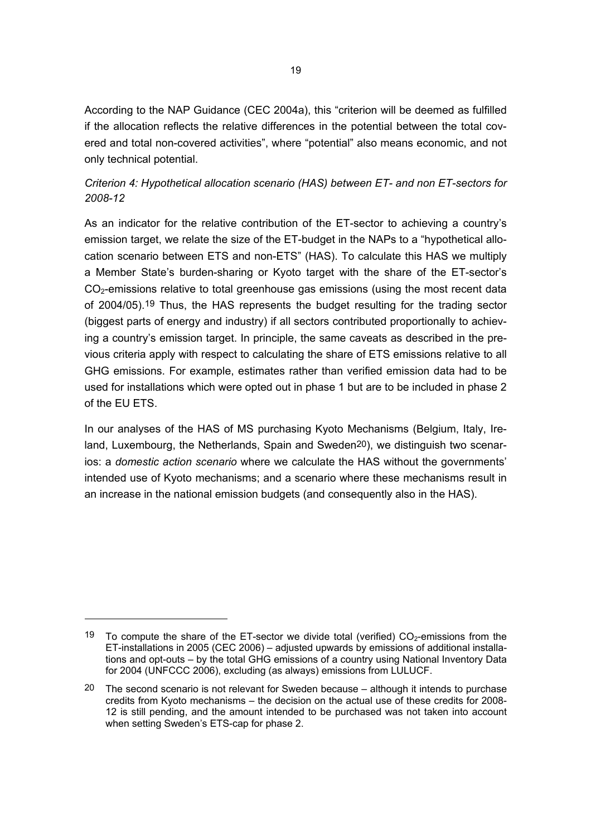According to the NAP Guidance (CEC 2004a), this "criterion will be deemed as fulfilled if the allocation reflects the relative differences in the potential between the total covered and total non-covered activities", where "potential" also means economic, and not only technical potential.

### *Criterion 4: Hypothetical allocation scenario (HAS) between ET- and non ET-sectors for 2008-12*

As an indicator for the relative contribution of the ET-sector to achieving a country's emission target, we relate the size of the ET-budget in the NAPs to a "hypothetical allocation scenario between ETS and non-ETS" (HAS). To calculate this HAS we multiply a Member State's burden-sharing or Kyoto target with the share of the ET-sector's  $CO<sub>2</sub>$ -emissions relative to total greenhouse gas emissions (using the most recent data of 2004/05).19 Thus, the HAS represents the budget resulting for the trading sector (biggest parts of energy and industry) if all sectors contributed proportionally to achieving a country's emission target. In principle, the same caveats as described in the previous criteria apply with respect to calculating the share of ETS emissions relative to all GHG emissions. For example, estimates rather than verified emission data had to be used for installations which were opted out in phase 1 but are to be included in phase 2 of the EU ETS.

In our analyses of the HAS of MS purchasing Kyoto Mechanisms (Belgium, Italy, Ireland, Luxembourg, the Netherlands, Spain and Sweden20), we distinguish two scenarios: a *domestic action scenario* where we calculate the HAS without the governments' intended use of Kyoto mechanisms; and a scenario where these mechanisms result in an increase in the national emission budgets (and consequently also in the HAS).

<sup>19</sup> To compute the share of the ET-sector we divide total (verified)  $CO<sub>2</sub>$ -emissions from the ET-installations in 2005 (CEC 2006) – adjusted upwards by emissions of additional installations and opt-outs – by the total GHG emissions of a country using National Inventory Data for 2004 (UNFCCC 2006), excluding (as always) emissions from LULUCF.

<sup>20</sup> The second scenario is not relevant for Sweden because – although it intends to purchase credits from Kyoto mechanisms – the decision on the actual use of these credits for 2008- 12 is still pending, and the amount intended to be purchased was not taken into account when setting Sweden's ETS-cap for phase 2.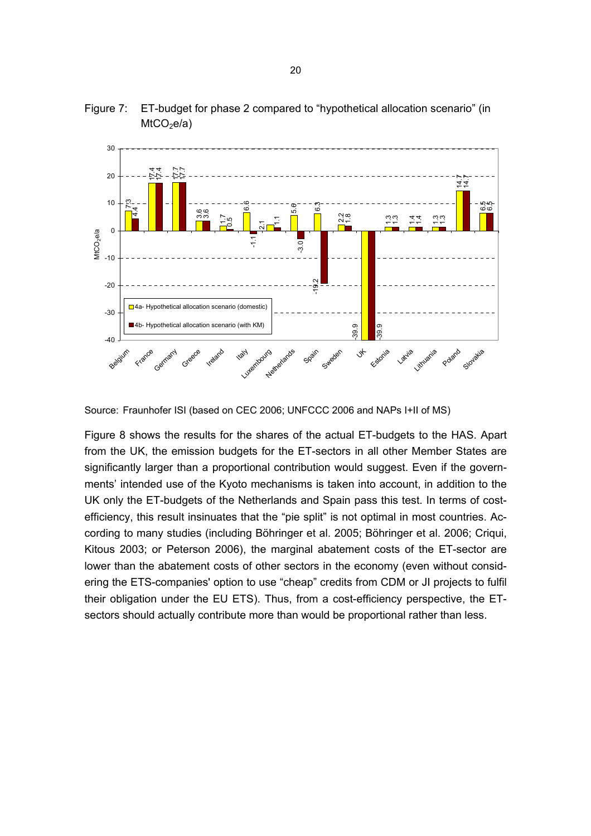

Figure 7: ET-budget for phase 2 compared to "hypothetical allocation scenario" (in  $MtCO<sub>2</sub>e/a$ 

Source: Fraunhofer ISI (based on CEC 2006; UNFCCC 2006 and NAPs I+II of MS)

Figure 8 shows the results for the shares of the actual ET-budgets to the HAS. Apart from the UK, the emission budgets for the ET-sectors in all other Member States are significantly larger than a proportional contribution would suggest. Even if the governments' intended use of the Kyoto mechanisms is taken into account, in addition to the UK only the ET-budgets of the Netherlands and Spain pass this test. In terms of costefficiency, this result insinuates that the "pie split" is not optimal in most countries. According to many studies (including Böhringer et al. 2005; Böhringer et al. 2006; Criqui, Kitous 2003; or Peterson 2006), the marginal abatement costs of the ET-sector are lower than the abatement costs of other sectors in the economy (even without considering the ETS-companies' option to use "cheap" credits from CDM or JI projects to fulfil their obligation under the EU ETS). Thus, from a cost-efficiency perspective, the ETsectors should actually contribute more than would be proportional rather than less.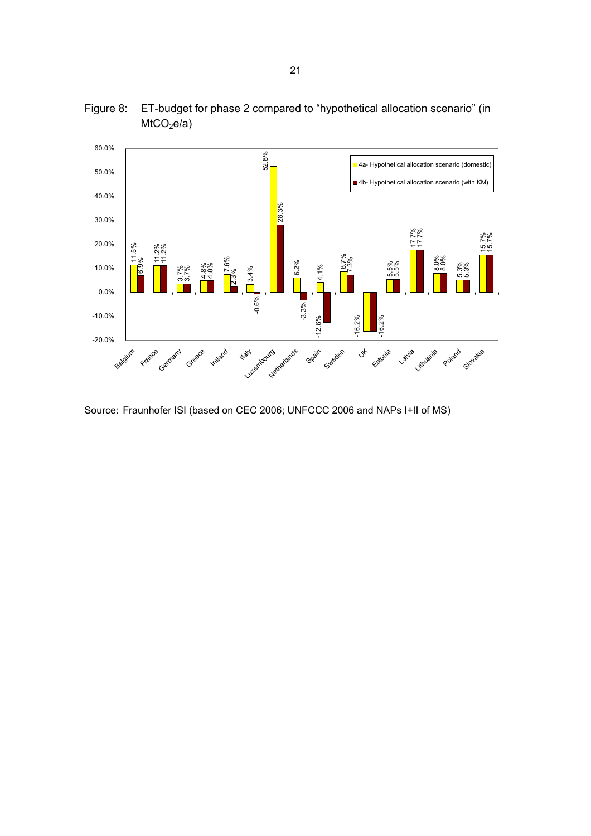

Figure 8: ET-budget for phase 2 compared to "hypothetical allocation scenario" (in  $MtCO<sub>2</sub>e/a$ 

Source: Fraunhofer ISI (based on CEC 2006; UNFCCC 2006 and NAPs I+II of MS)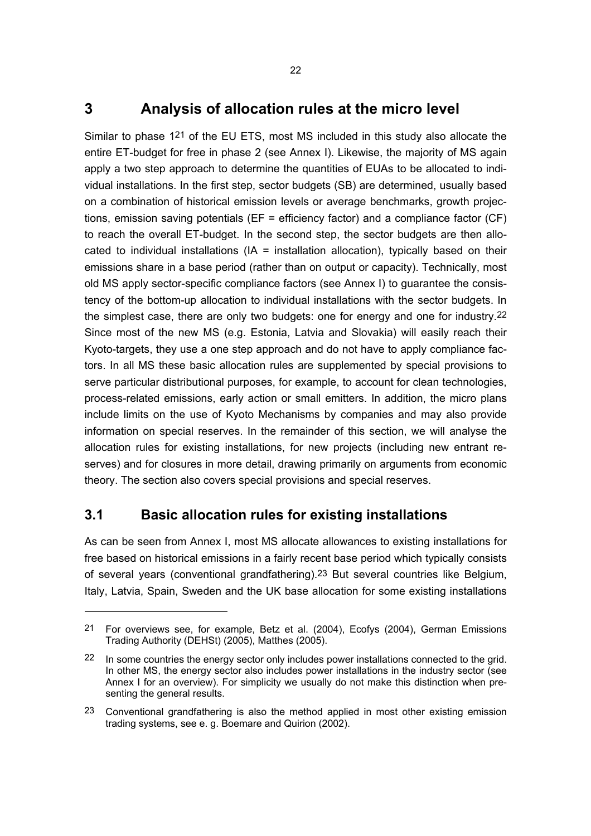### **3 Analysis of allocation rules at the micro level**

Similar to phase 121 of the EU ETS, most MS included in this study also allocate the entire ET-budget for free in phase 2 (see Annex I). Likewise, the majority of MS again apply a two step approach to determine the quantities of EUAs to be allocated to individual installations. In the first step, sector budgets (SB) are determined, usually based on a combination of historical emission levels or average benchmarks, growth projections, emission saving potentials ( $EF =$  efficiency factor) and a compliance factor ( $CF$ ) to reach the overall ET-budget. In the second step, the sector budgets are then allocated to individual installations  $(IA =$  installation allocation), typically based on their emissions share in a base period (rather than on output or capacity). Technically, most old MS apply sector-specific compliance factors (see Annex I) to guarantee the consistency of the bottom-up allocation to individual installations with the sector budgets. In the simplest case, there are only two budgets: one for energy and one for industry.22 Since most of the new MS (e.g. Estonia, Latvia and Slovakia) will easily reach their Kyoto-targets, they use a one step approach and do not have to apply compliance factors. In all MS these basic allocation rules are supplemented by special provisions to serve particular distributional purposes, for example, to account for clean technologies, process-related emissions, early action or small emitters. In addition, the micro plans include limits on the use of Kyoto Mechanisms by companies and may also provide information on special reserves. In the remainder of this section, we will analyse the allocation rules for existing installations, for new projects (including new entrant reserves) and for closures in more detail, drawing primarily on arguments from economic theory. The section also covers special provisions and special reserves.

### **3.1 Basic allocation rules for existing installations**

As can be seen from Annex I, most MS allocate allowances to existing installations for free based on historical emissions in a fairly recent base period which typically consists of several years (conventional grandfathering).23 But several countries like Belgium, Italy, Latvia, Spain, Sweden and the UK base allocation for some existing installations

<sup>21</sup> For overviews see, for example, Betz et al. (2004), Ecofys (2004), German Emissions Trading Authority (DEHSt) (2005), Matthes (2005).

<sup>22</sup> In some countries the energy sector only includes power installations connected to the grid. In other MS, the energy sector also includes power installations in the industry sector (see Annex I for an overview). For simplicity we usually do not make this distinction when presenting the general results.

<sup>23</sup> Conventional grandfathering is also the method applied in most other existing emission trading systems, see e. g. Boemare and Quirion (2002).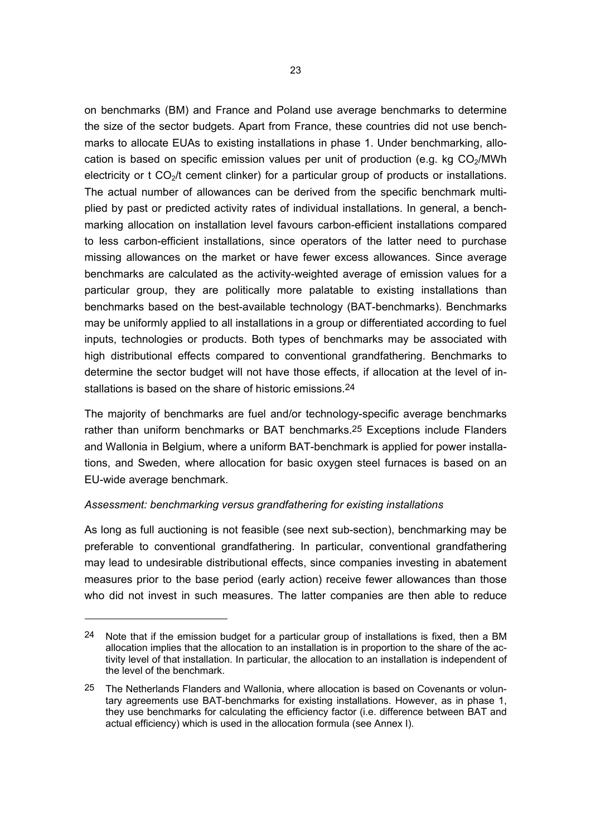on benchmarks (BM) and France and Poland use average benchmarks to determine the size of the sector budgets. Apart from France, these countries did not use benchmarks to allocate EUAs to existing installations in phase 1. Under benchmarking, allocation is based on specific emission values per unit of production (e.g. kg  $CO<sub>2</sub>/MWh$ electricity or  $t \text{CO}_{2}/t$  cement clinker) for a particular group of products or installations. The actual number of allowances can be derived from the specific benchmark multiplied by past or predicted activity rates of individual installations. In general, a benchmarking allocation on installation level favours carbon-efficient installations compared to less carbon-efficient installations, since operators of the latter need to purchase missing allowances on the market or have fewer excess allowances. Since average benchmarks are calculated as the activity-weighted average of emission values for a particular group, they are politically more palatable to existing installations than benchmarks based on the best-available technology (BAT-benchmarks). Benchmarks may be uniformly applied to all installations in a group or differentiated according to fuel inputs, technologies or products. Both types of benchmarks may be associated with high distributional effects compared to conventional grandfathering. Benchmarks to determine the sector budget will not have those effects, if allocation at the level of installations is based on the share of historic emissions.24

The majority of benchmarks are fuel and/or technology-specific average benchmarks rather than uniform benchmarks or BAT benchmarks.25 Exceptions include Flanders and Wallonia in Belgium, where a uniform BAT-benchmark is applied for power installations, and Sweden, where allocation for basic oxygen steel furnaces is based on an EU-wide average benchmark.

#### *Assessment: benchmarking versus grandfathering for existing installations*

As long as full auctioning is not feasible (see next sub-section), benchmarking may be preferable to conventional grandfathering. In particular, conventional grandfathering may lead to undesirable distributional effects, since companies investing in abatement measures prior to the base period (early action) receive fewer allowances than those who did not invest in such measures. The latter companies are then able to reduce

<sup>24</sup> Note that if the emission budget for a particular group of installations is fixed, then a BM allocation implies that the allocation to an installation is in proportion to the share of the activity level of that installation. In particular, the allocation to an installation is independent of the level of the benchmark.

<sup>25</sup> The Netherlands Flanders and Wallonia, where allocation is based on Covenants or voluntary agreements use BAT-benchmarks for existing installations. However, as in phase 1, they use benchmarks for calculating the efficiency factor (i.e. difference between BAT and actual efficiency) which is used in the allocation formula (see Annex I).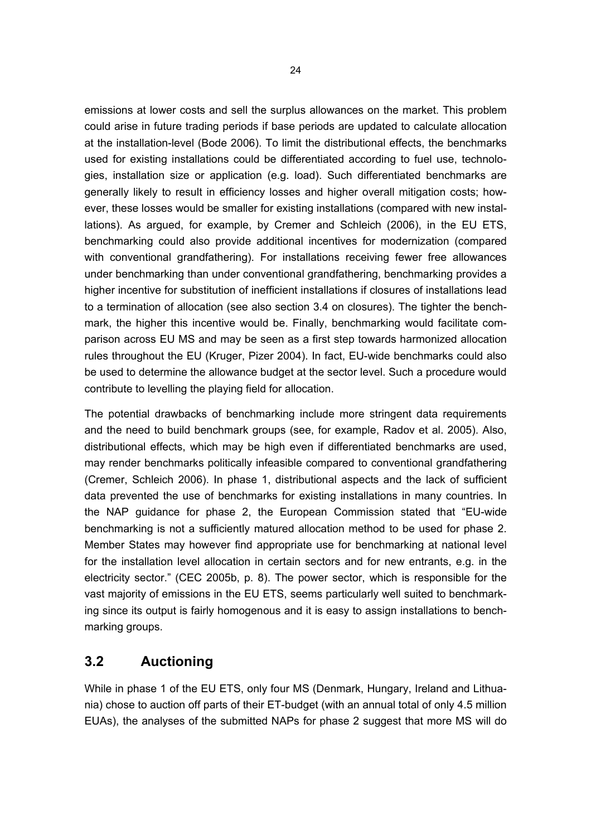emissions at lower costs and sell the surplus allowances on the market. This problem could arise in future trading periods if base periods are updated to calculate allocation at the installation-level (Bode 2006). To limit the distributional effects, the benchmarks used for existing installations could be differentiated according to fuel use, technologies, installation size or application (e.g. load). Such differentiated benchmarks are generally likely to result in efficiency losses and higher overall mitigation costs; however, these losses would be smaller for existing installations (compared with new installations). As argued, for example, by Cremer and Schleich (2006), in the EU ETS, benchmarking could also provide additional incentives for modernization (compared with conventional grandfathering). For installations receiving fewer free allowances under benchmarking than under conventional grandfathering, benchmarking provides a higher incentive for substitution of inefficient installations if closures of installations lead to a termination of allocation (see also section 3.4 on closures). The tighter the benchmark, the higher this incentive would be. Finally, benchmarking would facilitate comparison across EU MS and may be seen as a first step towards harmonized allocation rules throughout the EU (Kruger, Pizer 2004). In fact, EU-wide benchmarks could also be used to determine the allowance budget at the sector level. Such a procedure would contribute to levelling the playing field for allocation.

The potential drawbacks of benchmarking include more stringent data requirements and the need to build benchmark groups (see, for example, Radov et al. 2005). Also, distributional effects, which may be high even if differentiated benchmarks are used, may render benchmarks politically infeasible compared to conventional grandfathering (Cremer, Schleich 2006). In phase 1, distributional aspects and the lack of sufficient data prevented the use of benchmarks for existing installations in many countries. In the NAP guidance for phase 2, the European Commission stated that "EU-wide benchmarking is not a sufficiently matured allocation method to be used for phase 2. Member States may however find appropriate use for benchmarking at national level for the installation level allocation in certain sectors and for new entrants, e.g. in the electricity sector." (CEC 2005b, p. 8). The power sector, which is responsible for the vast majority of emissions in the EU ETS, seems particularly well suited to benchmarking since its output is fairly homogenous and it is easy to assign installations to benchmarking groups.

# **3.2 Auctioning**

While in phase 1 of the EU ETS, only four MS (Denmark, Hungary, Ireland and Lithuania) chose to auction off parts of their ET-budget (with an annual total of only 4.5 million EUAs), the analyses of the submitted NAPs for phase 2 suggest that more MS will do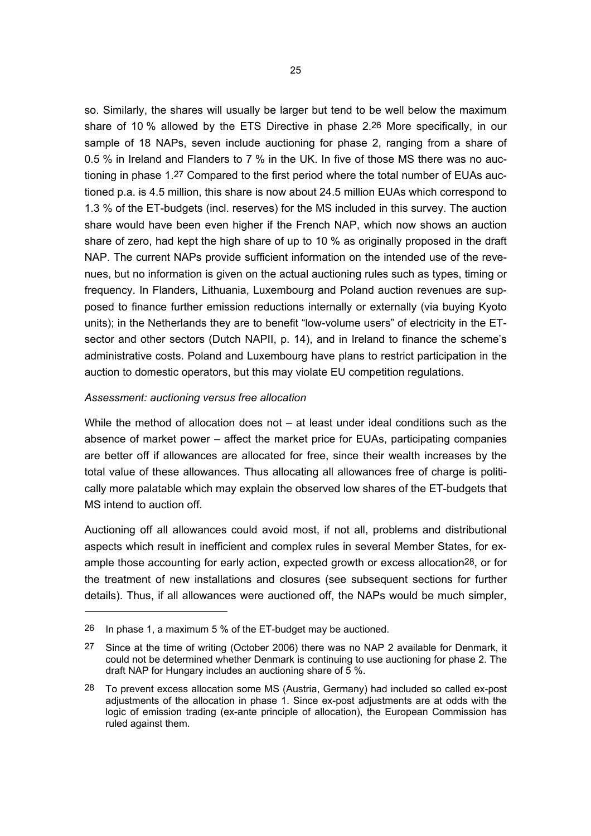so. Similarly, the shares will usually be larger but tend to be well below the maximum share of 10 % allowed by the ETS Directive in phase 2.26 More specifically, in our sample of 18 NAPs, seven include auctioning for phase 2, ranging from a share of 0.5 % in Ireland and Flanders to 7 % in the UK. In five of those MS there was no auctioning in phase 1.27 Compared to the first period where the total number of EUAs auctioned p.a. is 4.5 million, this share is now about 24.5 million EUAs which correspond to 1.3 % of the ET-budgets (incl. reserves) for the MS included in this survey. The auction share would have been even higher if the French NAP, which now shows an auction share of zero, had kept the high share of up to 10 % as originally proposed in the draft NAP. The current NAPs provide sufficient information on the intended use of the revenues, but no information is given on the actual auctioning rules such as types, timing or frequency. In Flanders, Lithuania, Luxembourg and Poland auction revenues are supposed to finance further emission reductions internally or externally (via buying Kyoto units); in the Netherlands they are to benefit "low-volume users" of electricity in the ETsector and other sectors (Dutch NAPII, p. 14), and in Ireland to finance the scheme's administrative costs. Poland and Luxembourg have plans to restrict participation in the auction to domestic operators, but this may violate EU competition regulations.

#### *Assessment: auctioning versus free allocation*

While the method of allocation does not – at least under ideal conditions such as the absence of market power – affect the market price for EUAs, participating companies are better off if allowances are allocated for free, since their wealth increases by the total value of these allowances. Thus allocating all allowances free of charge is politically more palatable which may explain the observed low shares of the ET-budgets that MS intend to auction off.

Auctioning off all allowances could avoid most, if not all, problems and distributional aspects which result in inefficient and complex rules in several Member States, for example those accounting for early action, expected growth or excess allocation28, or for the treatment of new installations and closures (see subsequent sections for further details). Thus, if all allowances were auctioned off, the NAPs would be much simpler,

<sup>26</sup> In phase 1, a maximum 5 % of the ET-budget may be auctioned.

<sup>27</sup> Since at the time of writing (October 2006) there was no NAP 2 available for Denmark, it could not be determined whether Denmark is continuing to use auctioning for phase 2. The draft NAP for Hungary includes an auctioning share of 5 %.

<sup>28</sup> To prevent excess allocation some MS (Austria, Germany) had included so called ex-post adjustments of the allocation in phase 1. Since ex-post adjustments are at odds with the logic of emission trading (ex-ante principle of allocation), the European Commission has ruled against them.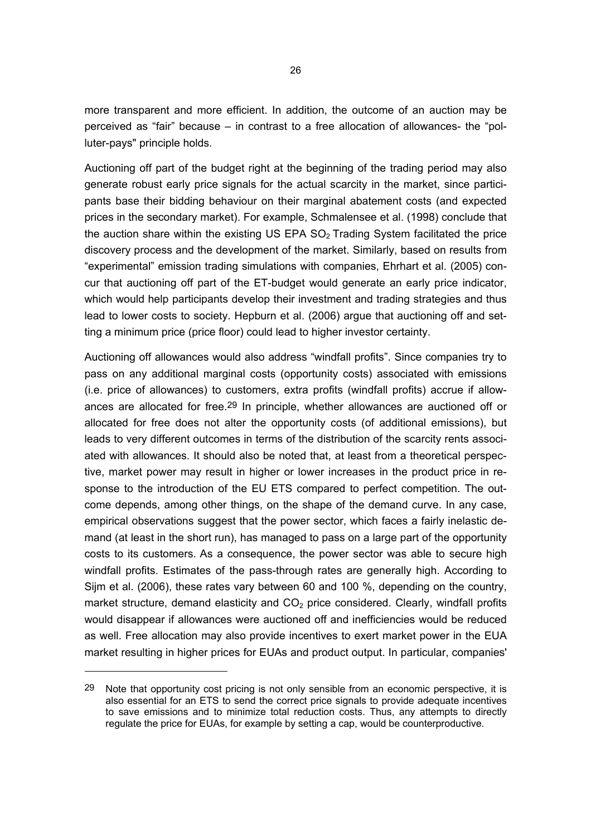more transparent and more efficient. In addition, the outcome of an auction may be perceived as "fair" because – in contrast to a free allocation of allowances- the "polluter-pays" principle holds.

Auctioning off part of the budget right at the beginning of the trading period may also generate robust early price signals for the actual scarcity in the market, since participants base their bidding behaviour on their marginal abatement costs (and expected prices in the secondary market). For example, Schmalensee et al. (1998) conclude that the auction share within the existing US EPA  $SO<sub>2</sub>$  Trading System facilitated the price discovery process and the development of the market. Similarly, based on results from "experimental" emission trading simulations with companies, Ehrhart et al. (2005) concur that auctioning off part of the ET-budget would generate an early price indicator, which would help participants develop their investment and trading strategies and thus lead to lower costs to society. Hepburn et al. (2006) argue that auctioning off and setting a minimum price (price floor) could lead to higher investor certainty.

Auctioning off allowances would also address "windfall profits". Since companies try to pass on any additional marginal costs (opportunity costs) associated with emissions (i.e. price of allowances) to customers, extra profits (windfall profits) accrue if allowances are allocated for free.29 In principle, whether allowances are auctioned off or allocated for free does not alter the opportunity costs (of additional emissions), but leads to very different outcomes in terms of the distribution of the scarcity rents associated with allowances. It should also be noted that, at least from a theoretical perspective, market power may result in higher or lower increases in the product price in response to the introduction of the EU ETS compared to perfect competition. The outcome depends, among other things, on the shape of the demand curve. In any case, empirical observations suggest that the power sector, which faces a fairly inelastic demand (at least in the short run), has managed to pass on a large part of the opportunity costs to its customers. As a consequence, the power sector was able to secure high windfall profits. Estimates of the pass-through rates are generally high. According to Sijm et al. (2006), these rates vary between 60 and 100 %, depending on the country, market structure, demand elasticity and  $CO<sub>2</sub>$  price considered. Clearly, windfall profits would disappear if allowances were auctioned off and inefficiencies would be reduced as well. Free allocation may also provide incentives to exert market power in the EUA market resulting in higher prices for EUAs and product output. In particular, companies'

 $\overline{a}$ 

 $29$  Note that opportunity cost pricing is not only sensible from an economic perspective, it is also essential for an ETS to send the correct price signals to provide adequate incentives to save emissions and to minimize total reduction costs. Thus, any attempts to directly regulate the price for EUAs, for example by setting a cap, would be counterproductive.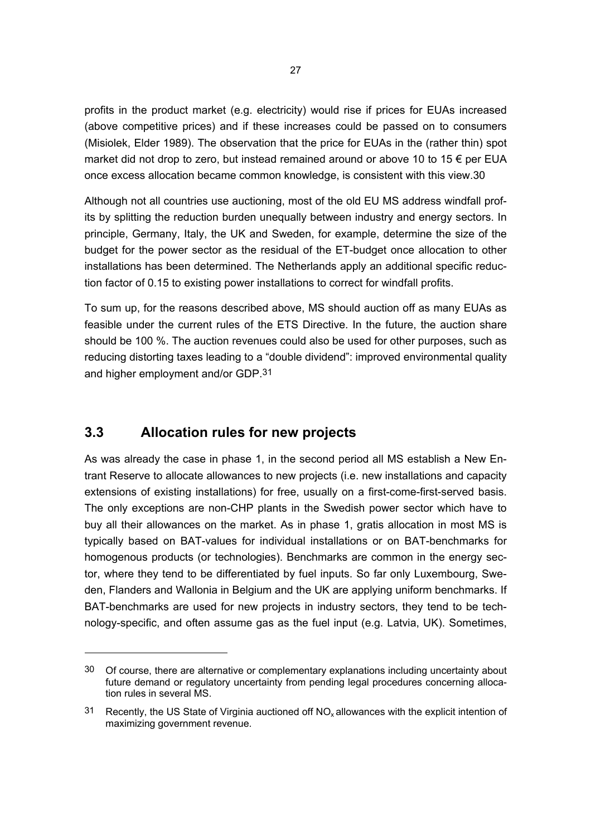profits in the product market (e.g. electricity) would rise if prices for EUAs increased (above competitive prices) and if these increases could be passed on to consumers (Misiolek, Elder 1989). The observation that the price for EUAs in the (rather thin) spot market did not drop to zero, but instead remained around or above 10 to 15  $\epsilon$  per EUA once excess allocation became common knowledge, is consistent with this view.30

Although not all countries use auctioning, most of the old EU MS address windfall profits by splitting the reduction burden unequally between industry and energy sectors. In principle, Germany, Italy, the UK and Sweden, for example, determine the size of the budget for the power sector as the residual of the ET-budget once allocation to other installations has been determined. The Netherlands apply an additional specific reduction factor of 0.15 to existing power installations to correct for windfall profits.

To sum up, for the reasons described above, MS should auction off as many EUAs as feasible under the current rules of the ETS Directive. In the future, the auction share should be 100 %. The auction revenues could also be used for other purposes, such as reducing distorting taxes leading to a "double dividend": improved environmental quality and higher employment and/or GDP.31

### **3.3 Allocation rules for new projects**

As was already the case in phase 1, in the second period all MS establish a New Entrant Reserve to allocate allowances to new projects (i.e. new installations and capacity extensions of existing installations) for free, usually on a first-come-first-served basis. The only exceptions are non-CHP plants in the Swedish power sector which have to buy all their allowances on the market. As in phase 1, gratis allocation in most MS is typically based on BAT-values for individual installations or on BAT-benchmarks for homogenous products (or technologies). Benchmarks are common in the energy sector, where they tend to be differentiated by fuel inputs. So far only Luxembourg, Sweden, Flanders and Wallonia in Belgium and the UK are applying uniform benchmarks. If BAT-benchmarks are used for new projects in industry sectors, they tend to be technology-specific, and often assume gas as the fuel input (e.g. Latvia, UK). Sometimes,

<sup>30</sup> Of course, there are alternative or complementary explanations including uncertainty about future demand or regulatory uncertainty from pending legal procedures concerning allocation rules in several MS.

 $31$  Recently, the US State of Virginia auctioned off NO<sub>x</sub> allowances with the explicit intention of maximizing government revenue.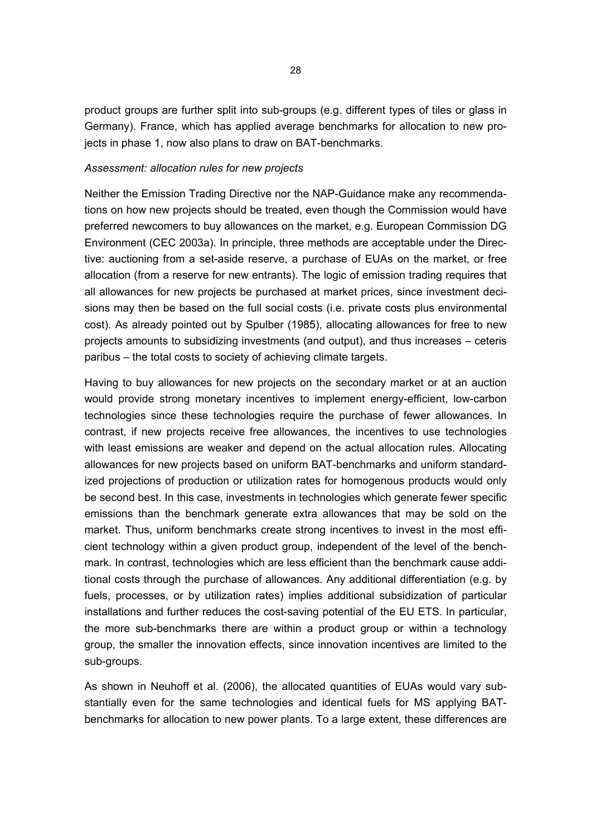product groups are further split into sub-groups (e.g. different types of tiles or glass in Germany). France, which has applied average benchmarks for allocation to new projects in phase 1, now also plans to draw on BAT-benchmarks.

#### *Assessment: allocation rules for new projects*

Neither the Emission Trading Directive nor the NAP-Guidance make any recommendations on how new projects should be treated, even though the Commission would have preferred newcomers to buy allowances on the market, e.g. European Commission DG Environment (CEC 2003a). In principle, three methods are acceptable under the Directive: auctioning from a set-aside reserve, a purchase of EUAs on the market, or free allocation (from a reserve for new entrants). The logic of emission trading requires that all allowances for new projects be purchased at market prices, since investment decisions may then be based on the full social costs (i.e. private costs plus environmental cost). As already pointed out by Spulber (1985), allocating allowances for free to new projects amounts to subsidizing investments (and output), and thus increases – ceteris paribus – the total costs to society of achieving climate targets.

Having to buy allowances for new projects on the secondary market or at an auction would provide strong monetary incentives to implement energy-efficient, low-carbon technologies since these technologies require the purchase of fewer allowances. In contrast, if new projects receive free allowances, the incentives to use technologies with least emissions are weaker and depend on the actual allocation rules. Allocating allowances for new projects based on uniform BAT-benchmarks and uniform standardized projections of production or utilization rates for homogenous products would only be second best. In this case, investments in technologies which generate fewer specific emissions than the benchmark generate extra allowances that may be sold on the market. Thus, uniform benchmarks create strong incentives to invest in the most efficient technology within a given product group, independent of the level of the benchmark. In contrast, technologies which are less efficient than the benchmark cause additional costs through the purchase of allowances. Any additional differentiation (e.g. by fuels, processes, or by utilization rates) implies additional subsidization of particular installations and further reduces the cost-saving potential of the EU ETS. In particular, the more sub-benchmarks there are within a product group or within a technology group, the smaller the innovation effects, since innovation incentives are limited to the sub-groups.

As shown in Neuhoff et al. (2006), the allocated quantities of EUAs would vary substantially even for the same technologies and identical fuels for MS applying BATbenchmarks for allocation to new power plants. To a large extent, these differences are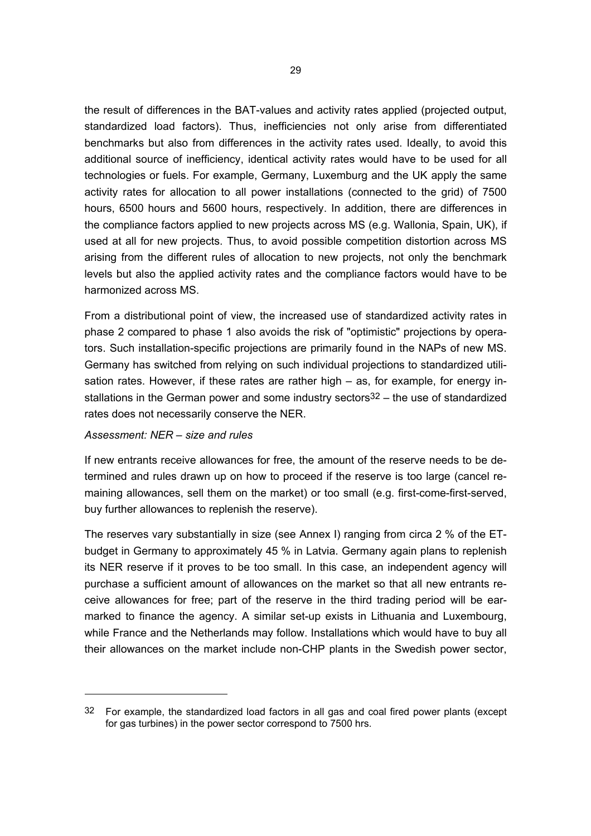the result of differences in the BAT-values and activity rates applied (projected output, standardized load factors). Thus, inefficiencies not only arise from differentiated benchmarks but also from differences in the activity rates used. Ideally, to avoid this additional source of inefficiency, identical activity rates would have to be used for all technologies or fuels. For example, Germany, Luxemburg and the UK apply the same activity rates for allocation to all power installations (connected to the grid) of 7500 hours, 6500 hours and 5600 hours, respectively. In addition, there are differences in the compliance factors applied to new projects across MS (e.g. Wallonia, Spain, UK), if used at all for new projects. Thus, to avoid possible competition distortion across MS arising from the different rules of allocation to new projects, not only the benchmark levels but also the applied activity rates and the compliance factors would have to be harmonized across MS.

From a distributional point of view, the increased use of standardized activity rates in phase 2 compared to phase 1 also avoids the risk of "optimistic" projections by operators. Such installation-specific projections are primarily found in the NAPs of new MS. Germany has switched from relying on such individual projections to standardized utilisation rates. However, if these rates are rather high – as, for example, for energy installations in the German power and some industry sectors<sup>32</sup> – the use of standardized rates does not necessarily conserve the NER.

#### *Assessment: NER – size and rules*

If new entrants receive allowances for free, the amount of the reserve needs to be determined and rules drawn up on how to proceed if the reserve is too large (cancel remaining allowances, sell them on the market) or too small (e.g. first-come-first-served, buy further allowances to replenish the reserve).

The reserves vary substantially in size (see Annex I) ranging from circa 2 % of the ETbudget in Germany to approximately 45 % in Latvia. Germany again plans to replenish its NER reserve if it proves to be too small. In this case, an independent agency will purchase a sufficient amount of allowances on the market so that all new entrants receive allowances for free; part of the reserve in the third trading period will be earmarked to finance the agency. A similar set-up exists in Lithuania and Luxembourg, while France and the Netherlands may follow. Installations which would have to buy all their allowances on the market include non-CHP plants in the Swedish power sector,

 $32$  For example, the standardized load factors in all gas and coal fired power plants (except for gas turbines) in the power sector correspond to 7500 hrs.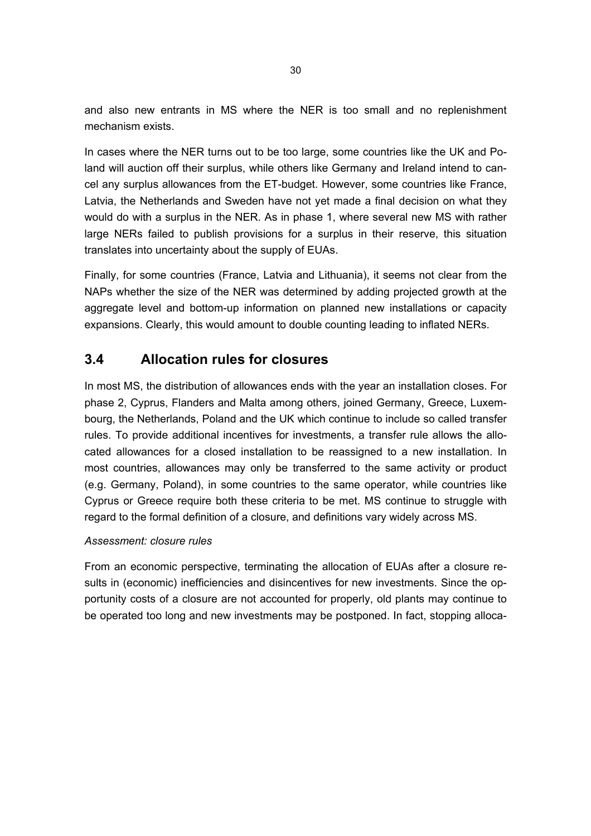and also new entrants in MS where the NER is too small and no replenishment mechanism exists.

In cases where the NER turns out to be too large, some countries like the UK and Poland will auction off their surplus, while others like Germany and Ireland intend to cancel any surplus allowances from the ET-budget. However, some countries like France, Latvia, the Netherlands and Sweden have not yet made a final decision on what they would do with a surplus in the NER. As in phase 1, where several new MS with rather large NERs failed to publish provisions for a surplus in their reserve, this situation translates into uncertainty about the supply of EUAs.

Finally, for some countries (France, Latvia and Lithuania), it seems not clear from the NAPs whether the size of the NER was determined by adding projected growth at the aggregate level and bottom-up information on planned new installations or capacity expansions. Clearly, this would amount to double counting leading to inflated NERs.

## **3.4 Allocation rules for closures**

In most MS, the distribution of allowances ends with the year an installation closes. For phase 2, Cyprus, Flanders and Malta among others, joined Germany, Greece, Luxembourg, the Netherlands, Poland and the UK which continue to include so called transfer rules. To provide additional incentives for investments, a transfer rule allows the allocated allowances for a closed installation to be reassigned to a new installation. In most countries, allowances may only be transferred to the same activity or product (e.g. Germany, Poland), in some countries to the same operator, while countries like Cyprus or Greece require both these criteria to be met. MS continue to struggle with regard to the formal definition of a closure, and definitions vary widely across MS.

#### *Assessment: closure rules*

From an economic perspective, terminating the allocation of EUAs after a closure results in (economic) inefficiencies and disincentives for new investments. Since the opportunity costs of a closure are not accounted for properly, old plants may continue to be operated too long and new investments may be postponed. In fact, stopping alloca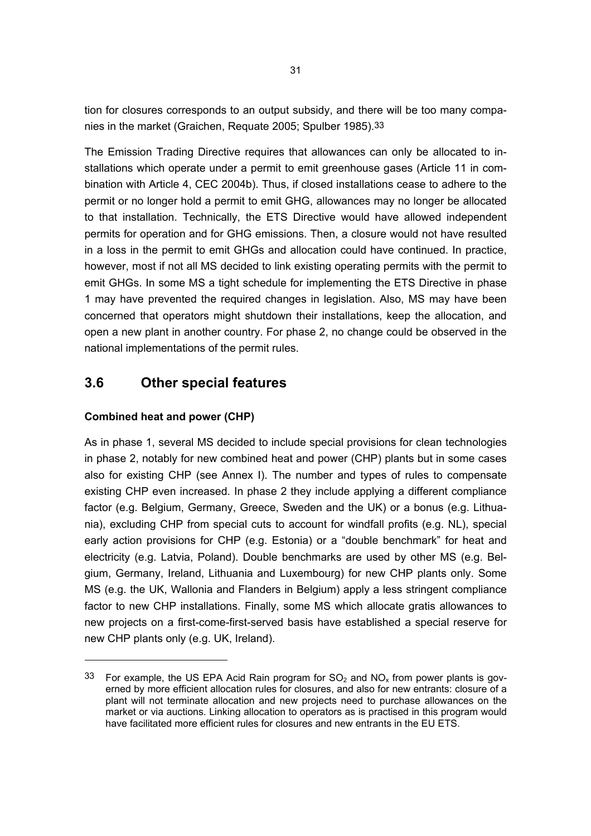tion for closures corresponds to an output subsidy, and there will be too many companies in the market (Graichen, Requate 2005; Spulber 1985).33

The Emission Trading Directive requires that allowances can only be allocated to installations which operate under a permit to emit greenhouse gases (Article 11 in combination with Article 4, CEC 2004b). Thus, if closed installations cease to adhere to the permit or no longer hold a permit to emit GHG, allowances may no longer be allocated to that installation. Technically, the ETS Directive would have allowed independent permits for operation and for GHG emissions. Then, a closure would not have resulted in a loss in the permit to emit GHGs and allocation could have continued. In practice, however, most if not all MS decided to link existing operating permits with the permit to emit GHGs. In some MS a tight schedule for implementing the ETS Directive in phase 1 may have prevented the required changes in legislation. Also, MS may have been concerned that operators might shutdown their installations, keep the allocation, and open a new plant in another country. For phase 2, no change could be observed in the national implementations of the permit rules.

# **3.6 Other special features**

### **Combined heat and power (CHP)**

As in phase 1, several MS decided to include special provisions for clean technologies in phase 2, notably for new combined heat and power (CHP) plants but in some cases also for existing CHP (see Annex I). The number and types of rules to compensate existing CHP even increased. In phase 2 they include applying a different compliance factor (e.g. Belgium, Germany, Greece, Sweden and the UK) or a bonus (e.g. Lithuania), excluding CHP from special cuts to account for windfall profits (e.g. NL), special early action provisions for CHP (e.g. Estonia) or a "double benchmark" for heat and electricity (e.g. Latvia, Poland). Double benchmarks are used by other MS (e.g. Belgium, Germany, Ireland, Lithuania and Luxembourg) for new CHP plants only. Some MS (e.g. the UK, Wallonia and Flanders in Belgium) apply a less stringent compliance factor to new CHP installations. Finally, some MS which allocate gratis allowances to new projects on a first-come-first-served basis have established a special reserve for new CHP plants only (e.g. UK, Ireland).

<sup>33</sup> For example, the US EPA Acid Rain program for  $SO_2$  and  $NO_x$  from power plants is governed by more efficient allocation rules for closures, and also for new entrants: closure of a plant will not terminate allocation and new projects need to purchase allowances on the market or via auctions. Linking allocation to operators as is practised in this program would have facilitated more efficient rules for closures and new entrants in the EU ETS.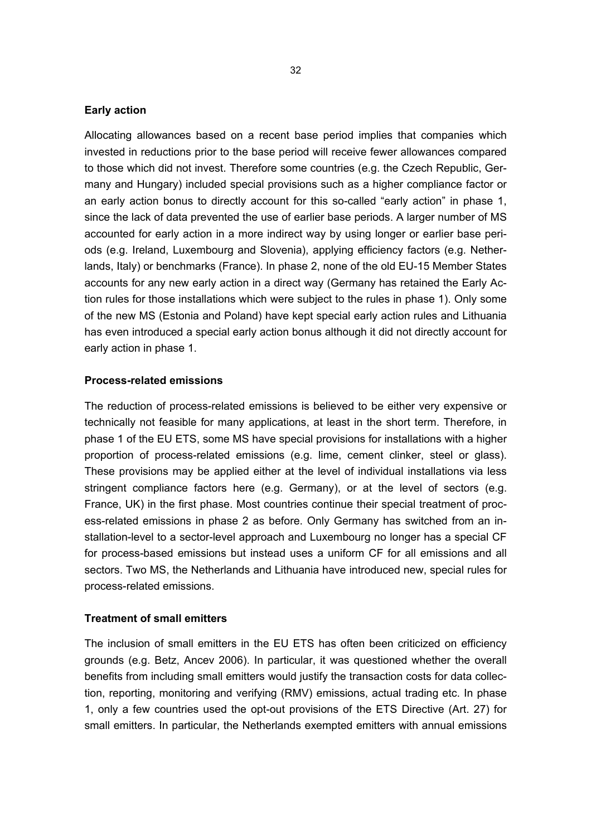#### **Early action**

Allocating allowances based on a recent base period implies that companies which invested in reductions prior to the base period will receive fewer allowances compared to those which did not invest. Therefore some countries (e.g. the Czech Republic, Germany and Hungary) included special provisions such as a higher compliance factor or an early action bonus to directly account for this so-called "early action" in phase 1, since the lack of data prevented the use of earlier base periods. A larger number of MS accounted for early action in a more indirect way by using longer or earlier base periods (e.g. Ireland, Luxembourg and Slovenia), applying efficiency factors (e.g. Netherlands, Italy) or benchmarks (France). In phase 2, none of the old EU-15 Member States accounts for any new early action in a direct way (Germany has retained the Early Action rules for those installations which were subject to the rules in phase 1). Only some of the new MS (Estonia and Poland) have kept special early action rules and Lithuania has even introduced a special early action bonus although it did not directly account for early action in phase 1.

#### **Process-related emissions**

The reduction of process-related emissions is believed to be either very expensive or technically not feasible for many applications, at least in the short term. Therefore, in phase 1 of the EU ETS, some MS have special provisions for installations with a higher proportion of process-related emissions (e.g. lime, cement clinker, steel or glass). These provisions may be applied either at the level of individual installations via less stringent compliance factors here (e.g. Germany), or at the level of sectors (e.g. France, UK) in the first phase. Most countries continue their special treatment of process-related emissions in phase 2 as before. Only Germany has switched from an installation-level to a sector-level approach and Luxembourg no longer has a special CF for process-based emissions but instead uses a uniform CF for all emissions and all sectors. Two MS, the Netherlands and Lithuania have introduced new, special rules for process-related emissions.

#### **Treatment of small emitters**

The inclusion of small emitters in the EU ETS has often been criticized on efficiency grounds (e.g. Betz, Ancev 2006). In particular, it was questioned whether the overall benefits from including small emitters would justify the transaction costs for data collection, reporting, monitoring and verifying (RMV) emissions, actual trading etc. In phase 1, only a few countries used the opt-out provisions of the ETS Directive (Art. 27) for small emitters. In particular, the Netherlands exempted emitters with annual emissions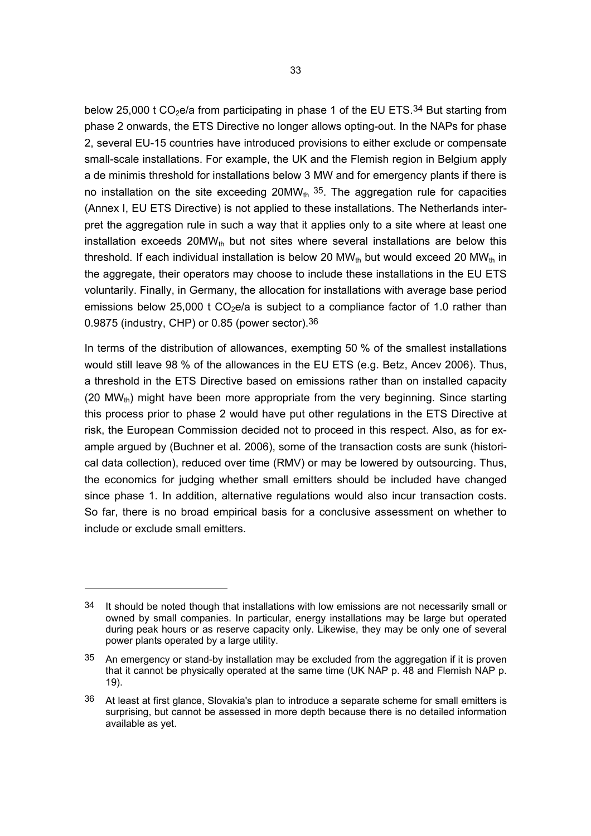below 25,000 t  $CO<sub>2</sub>e/a$  from participating in phase 1 of the EU ETS.<sup>34</sup> But starting from phase 2 onwards, the ETS Directive no longer allows opting-out. In the NAPs for phase 2, several EU-15 countries have introduced provisions to either exclude or compensate small-scale installations. For example, the UK and the Flemish region in Belgium apply a de minimis threshold for installations below 3 MW and for emergency plants if there is no installation on the site exceeding  $20MW_{th}$  35. The aggregation rule for capacities (Annex I, EU ETS Directive) is not applied to these installations. The Netherlands interpret the aggregation rule in such a way that it applies only to a site where at least one installation exceeds  $20MW_{th}$  but not sites where several installations are below this threshold. If each individual installation is below 20  $MW_{th}$  but would exceed 20  $MW_{th}$  in the aggregate, their operators may choose to include these installations in the EU ETS voluntarily. Finally, in Germany, the allocation for installations with average base period emissions below 25,000 t  $CO<sub>2</sub>e/a$  is subject to a compliance factor of 1.0 rather than 0.9875 (industry, CHP) or 0.85 (power sector).36

In terms of the distribution of allowances, exempting 50 % of the smallest installations would still leave 98 % of the allowances in the EU ETS (e.g. Betz, Ancev 2006). Thus, a threshold in the ETS Directive based on emissions rather than on installed capacity (20 MW<sub>th</sub>) might have been more appropriate from the very beginning. Since starting this process prior to phase 2 would have put other regulations in the ETS Directive at risk, the European Commission decided not to proceed in this respect. Also, as for example argued by (Buchner et al. 2006), some of the transaction costs are sunk (historical data collection), reduced over time (RMV) or may be lowered by outsourcing. Thus, the economics for judging whether small emitters should be included have changed since phase 1. In addition, alternative regulations would also incur transaction costs. So far, there is no broad empirical basis for a conclusive assessment on whether to include or exclude small emitters.

<sup>34</sup> It should be noted though that installations with low emissions are not necessarily small or owned by small companies. In particular, energy installations may be large but operated during peak hours or as reserve capacity only. Likewise, they may be only one of several power plants operated by a large utility.

<sup>35</sup> An emergency or stand-by installation may be excluded from the aggregation if it is proven that it cannot be physically operated at the same time (UK NAP p. 48 and Flemish NAP p. 19).

<sup>36</sup> At least at first glance, Slovakia's plan to introduce a separate scheme for small emitters is surprising, but cannot be assessed in more depth because there is no detailed information available as yet.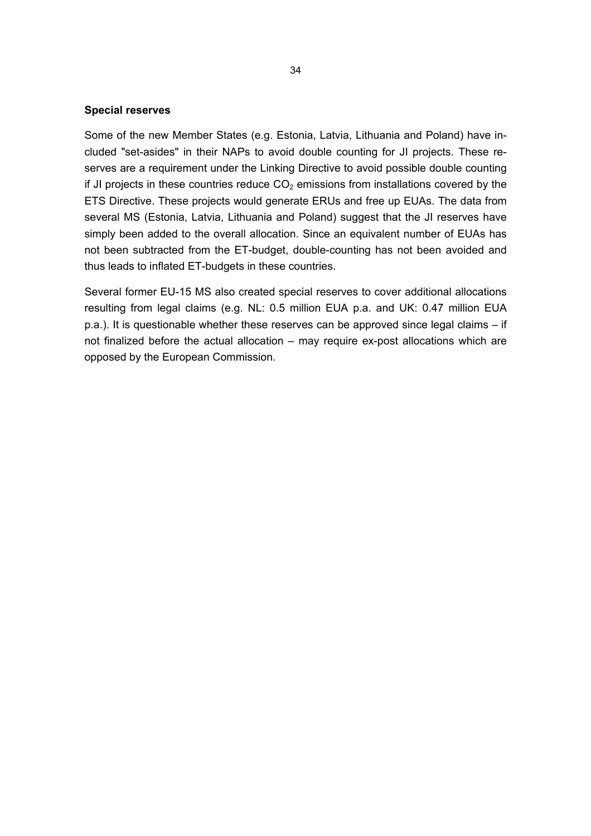#### **Special reserves**

Some of the new Member States (e.g. Estonia, Latvia, Lithuania and Poland) have included "set-asides" in their NAPs to avoid double counting for JI projects. These reserves are a requirement under the Linking Directive to avoid possible double counting if JI projects in these countries reduce  $CO<sub>2</sub>$  emissions from installations covered by the ETS Directive. These projects would generate ERUs and free up EUAs. The data from several MS (Estonia, Latvia, Lithuania and Poland) suggest that the JI reserves have simply been added to the overall allocation. Since an equivalent number of EUAs has not been subtracted from the ET-budget, double-counting has not been avoided and thus leads to inflated ET-budgets in these countries.

Several former EU-15 MS also created special reserves to cover additional allocations resulting from legal claims (e.g. NL: 0.5 million EUA p.a. and UK: 0.47 million EUA p.a.). It is questionable whether these reserves can be approved since legal claims – if not finalized before the actual allocation – may require ex-post allocations which are opposed by the European Commission.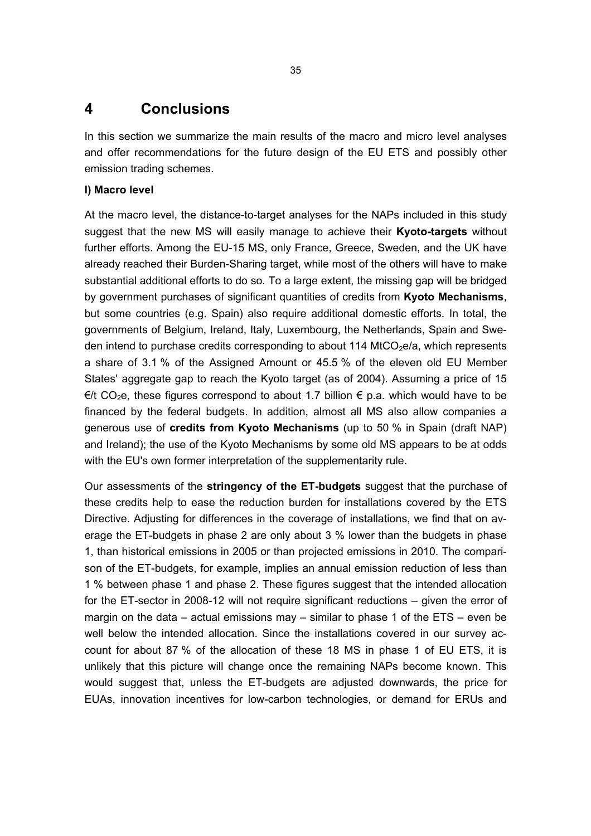# **4 Conclusions**

In this section we summarize the main results of the macro and micro level analyses and offer recommendations for the future design of the EU ETS and possibly other emission trading schemes.

#### **I) Macro level**

At the macro level, the distance-to-target analyses for the NAPs included in this study suggest that the new MS will easily manage to achieve their **Kyoto-targets** without further efforts. Among the EU-15 MS, only France, Greece, Sweden, and the UK have already reached their Burden-Sharing target, while most of the others will have to make substantial additional efforts to do so. To a large extent, the missing gap will be bridged by government purchases of significant quantities of credits from **Kyoto Mechanisms**, but some countries (e.g. Spain) also require additional domestic efforts. In total, the governments of Belgium, Ireland, Italy, Luxembourg, the Netherlands, Spain and Sweden intend to purchase credits corresponding to about 114 MtCO<sub>2</sub>e/a, which represents a share of 3.1 % of the Assigned Amount or 45.5 % of the eleven old EU Member States' aggregate gap to reach the Kyoto target (as of 2004). Assuming a price of 15  $\epsilon/t$  CO<sub>2</sub>e, these figures correspond to about 1.7 billion  $\epsilon$  p.a. which would have to be financed by the federal budgets. In addition, almost all MS also allow companies a generous use of **credits from Kyoto Mechanisms** (up to 50 % in Spain (draft NAP) and Ireland); the use of the Kyoto Mechanisms by some old MS appears to be at odds with the EU's own former interpretation of the supplementarity rule.

Our assessments of the **stringency of the ET-budgets** suggest that the purchase of these credits help to ease the reduction burden for installations covered by the ETS Directive. Adjusting for differences in the coverage of installations, we find that on average the ET-budgets in phase 2 are only about 3 % lower than the budgets in phase 1, than historical emissions in 2005 or than projected emissions in 2010. The comparison of the ET-budgets, for example, implies an annual emission reduction of less than 1 % between phase 1 and phase 2. These figures suggest that the intended allocation for the ET-sector in 2008-12 will not require significant reductions – given the error of margin on the data – actual emissions may – similar to phase 1 of the  $ETS -$  even be well below the intended allocation. Since the installations covered in our survey account for about 87 % of the allocation of these 18 MS in phase 1 of EU ETS, it is unlikely that this picture will change once the remaining NAPs become known. This would suggest that, unless the ET-budgets are adjusted downwards, the price for EUAs, innovation incentives for low-carbon technologies, or demand for ERUs and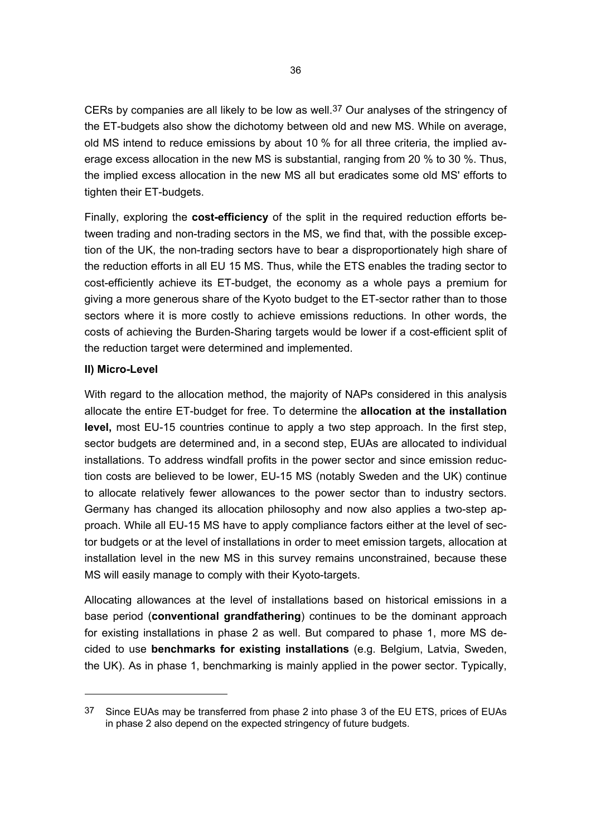CERs by companies are all likely to be low as well.37 Our analyses of the stringency of the ET-budgets also show the dichotomy between old and new MS. While on average, old MS intend to reduce emissions by about 10 % for all three criteria, the implied average excess allocation in the new MS is substantial, ranging from 20 % to 30 %. Thus, the implied excess allocation in the new MS all but eradicates some old MS' efforts to tighten their ET-budgets.

Finally, exploring the **cost-efficiency** of the split in the required reduction efforts between trading and non-trading sectors in the MS, we find that, with the possible exception of the UK, the non-trading sectors have to bear a disproportionately high share of the reduction efforts in all EU 15 MS. Thus, while the ETS enables the trading sector to cost-efficiently achieve its ET-budget, the economy as a whole pays a premium for giving a more generous share of the Kyoto budget to the ET-sector rather than to those sectors where it is more costly to achieve emissions reductions*.* In other words, the costs of achieving the Burden-Sharing targets would be lower if a cost-efficient split of the reduction target were determined and implemented.

#### **II) Micro-Level**

With regard to the allocation method, the majority of NAPs considered in this analysis allocate the entire ET-budget for free. To determine the **allocation at the installation level,** most EU-15 countries continue to apply a two step approach. In the first step, sector budgets are determined and, in a second step, EUAs are allocated to individual installations. To address windfall profits in the power sector and since emission reduction costs are believed to be lower, EU-15 MS (notably Sweden and the UK) continue to allocate relatively fewer allowances to the power sector than to industry sectors. Germany has changed its allocation philosophy and now also applies a two-step approach. While all EU-15 MS have to apply compliance factors either at the level of sector budgets or at the level of installations in order to meet emission targets, allocation at installation level in the new MS in this survey remains unconstrained, because these MS will easily manage to comply with their Kyoto-targets.

Allocating allowances at the level of installations based on historical emissions in a base period (**conventional grandfathering**) continues to be the dominant approach for existing installations in phase 2 as well. But compared to phase 1, more MS decided to use **benchmarks for existing installations** (e.g. Belgium, Latvia, Sweden, the UK). As in phase 1, benchmarking is mainly applied in the power sector. Typically,

<sup>37</sup> Since EUAs may be transferred from phase 2 into phase 3 of the EU ETS, prices of EUAs in phase 2 also depend on the expected stringency of future budgets.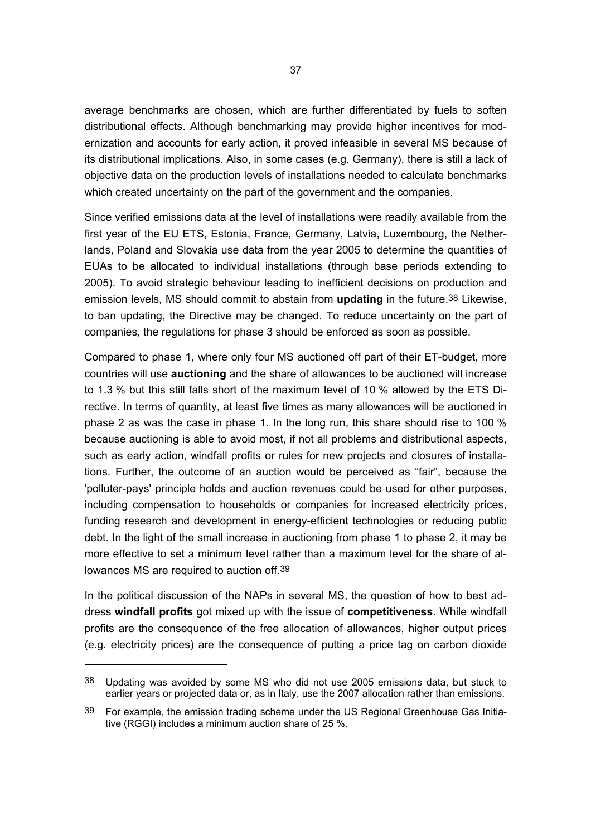average benchmarks are chosen, which are further differentiated by fuels to soften distributional effects. Although benchmarking may provide higher incentives for modernization and accounts for early action, it proved infeasible in several MS because of its distributional implications. Also, in some cases (e.g. Germany), there is still a lack of objective data on the production levels of installations needed to calculate benchmarks which created uncertainty on the part of the government and the companies.

Since verified emissions data at the level of installations were readily available from the first year of the EU ETS, Estonia, France, Germany, Latvia, Luxembourg, the Netherlands, Poland and Slovakia use data from the year 2005 to determine the quantities of EUAs to be allocated to individual installations (through base periods extending to 2005). To avoid strategic behaviour leading to inefficient decisions on production and emission levels, MS should commit to abstain from **updating** in the future.38 Likewise, to ban updating, the Directive may be changed. To reduce uncertainty on the part of companies, the regulations for phase 3 should be enforced as soon as possible.

Compared to phase 1, where only four MS auctioned off part of their ET-budget, more countries will use **auctioning** and the share of allowances to be auctioned will increase to 1.3 % but this still falls short of the maximum level of 10 % allowed by the ETS Directive. In terms of quantity, at least five times as many allowances will be auctioned in phase 2 as was the case in phase 1. In the long run, this share should rise to 100 % because auctioning is able to avoid most, if not all problems and distributional aspects, such as early action, windfall profits or rules for new projects and closures of installations. Further, the outcome of an auction would be perceived as "fair", because the 'polluter-pays' principle holds and auction revenues could be used for other purposes, including compensation to households or companies for increased electricity prices, funding research and development in energy-efficient technologies or reducing public debt. In the light of the small increase in auctioning from phase 1 to phase 2, it may be more effective to set a minimum level rather than a maximum level for the share of allowances MS are required to auction off.39

In the political discussion of the NAPs in several MS, the question of how to best address **windfall profits** got mixed up with the issue of **competitiveness**. While windfall profits are the consequence of the free allocation of allowances, higher output prices (e.g. electricity prices) are the consequence of putting a price tag on carbon dioxide

<sup>38</sup> Updating was avoided by some MS who did not use 2005 emissions data, but stuck to earlier years or projected data or, as in Italy, use the 2007 allocation rather than emissions.

<sup>39</sup> For example, the emission trading scheme under the US Regional Greenhouse Gas Initiative (RGGI) includes a minimum auction share of 25 %.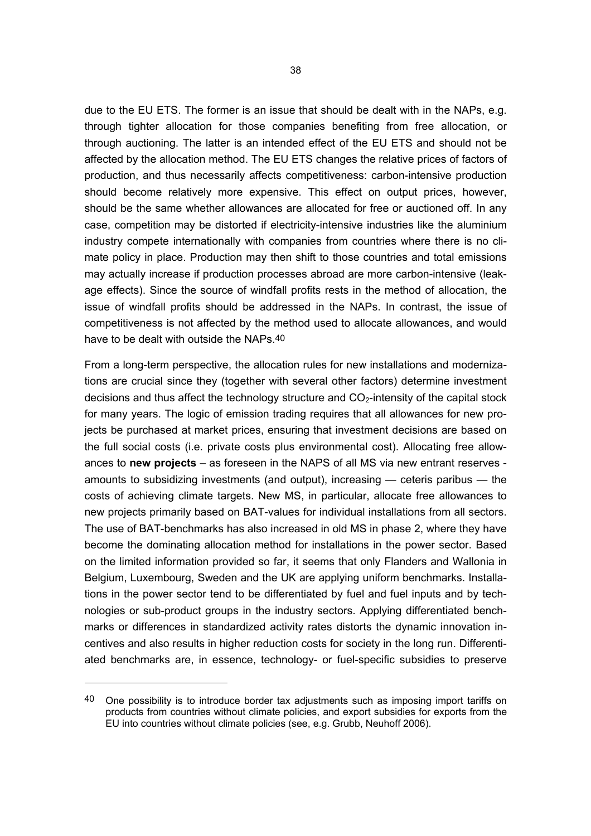due to the EU ETS. The former is an issue that should be dealt with in the NAPs, e.g. through tighter allocation for those companies benefiting from free allocation, or through auctioning. The latter is an intended effect of the EU ETS and should not be affected by the allocation method. The EU ETS changes the relative prices of factors of production, and thus necessarily affects competitiveness: carbon-intensive production should become relatively more expensive. This effect on output prices, however, should be the same whether allowances are allocated for free or auctioned off. In any case, competition may be distorted if electricity-intensive industries like the aluminium industry compete internationally with companies from countries where there is no climate policy in place. Production may then shift to those countries and total emissions may actually increase if production processes abroad are more carbon-intensive (leakage effects). Since the source of windfall profits rests in the method of allocation, the issue of windfall profits should be addressed in the NAPs. In contrast, the issue of competitiveness is not affected by the method used to allocate allowances, and would have to be dealt with outside the NAPs.40

From a long-term perspective, the allocation rules for new installations and modernizations are crucial since they (together with several other factors) determine investment decisions and thus affect the technology structure and  $CO<sub>2</sub>$ -intensity of the capital stock for many years. The logic of emission trading requires that all allowances for new projects be purchased at market prices, ensuring that investment decisions are based on the full social costs (i.e. private costs plus environmental cost). Allocating free allowances to **new projects** – as foreseen in the NAPS of all MS via new entrant reserves amounts to subsidizing investments (and output), increasing — ceteris paribus — the costs of achieving climate targets. New MS, in particular, allocate free allowances to new projects primarily based on BAT-values for individual installations from all sectors. The use of BAT-benchmarks has also increased in old MS in phase 2, where they have become the dominating allocation method for installations in the power sector. Based on the limited information provided so far, it seems that only Flanders and Wallonia in Belgium, Luxembourg, Sweden and the UK are applying uniform benchmarks. Installations in the power sector tend to be differentiated by fuel and fuel inputs and by technologies or sub-product groups in the industry sectors. Applying differentiated benchmarks or differences in standardized activity rates distorts the dynamic innovation incentives and also results in higher reduction costs for society in the long run. Differentiated benchmarks are, in essence, technology- or fuel-specific subsidies to preserve

 $\overline{a}$ 

<sup>40</sup> One possibility is to introduce border tax adjustments such as imposing import tariffs on products from countries without climate policies, and export subsidies for exports from the EU into countries without climate policies (see, e.g. Grubb, Neuhoff 2006).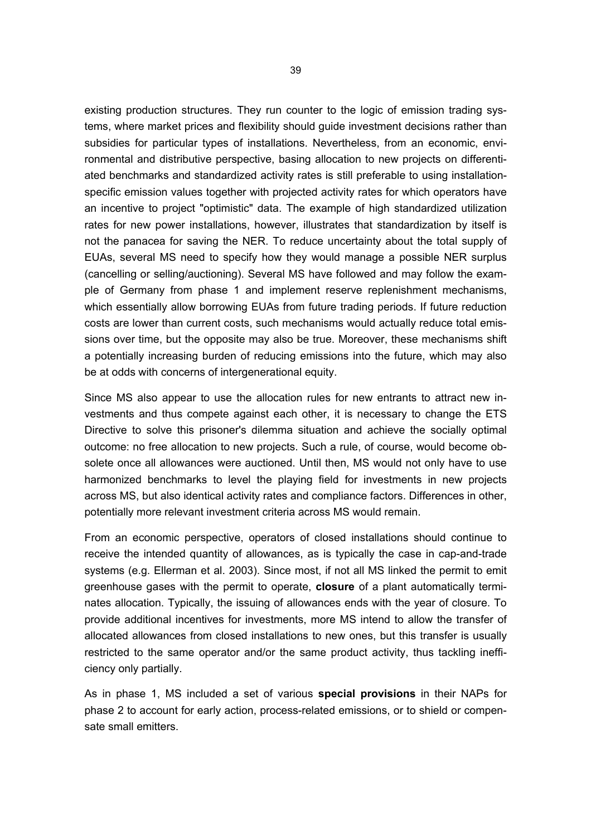existing production structures. They run counter to the logic of emission trading systems, where market prices and flexibility should guide investment decisions rather than subsidies for particular types of installations. Nevertheless, from an economic, environmental and distributive perspective, basing allocation to new projects on differentiated benchmarks and standardized activity rates is still preferable to using installationspecific emission values together with projected activity rates for which operators have an incentive to project "optimistic" data. The example of high standardized utilization rates for new power installations, however, illustrates that standardization by itself is not the panacea for saving the NER. To reduce uncertainty about the total supply of EUAs, several MS need to specify how they would manage a possible NER surplus (cancelling or selling/auctioning). Several MS have followed and may follow the example of Germany from phase 1 and implement reserve replenishment mechanisms, which essentially allow borrowing EUAs from future trading periods. If future reduction costs are lower than current costs, such mechanisms would actually reduce total emissions over time, but the opposite may also be true. Moreover, these mechanisms shift a potentially increasing burden of reducing emissions into the future, which may also be at odds with concerns of intergenerational equity.

Since MS also appear to use the allocation rules for new entrants to attract new investments and thus compete against each other, it is necessary to change the ETS Directive to solve this prisoner's dilemma situation and achieve the socially optimal outcome: no free allocation to new projects. Such a rule, of course, would become obsolete once all allowances were auctioned. Until then, MS would not only have to use harmonized benchmarks to level the playing field for investments in new projects across MS, but also identical activity rates and compliance factors. Differences in other, potentially more relevant investment criteria across MS would remain.

From an economic perspective, operators of closed installations should continue to receive the intended quantity of allowances, as is typically the case in cap-and-trade systems (e.g. Ellerman et al. 2003). Since most, if not all MS linked the permit to emit greenhouse gases with the permit to operate, **closure** of a plant automatically terminates allocation. Typically, the issuing of allowances ends with the year of closure. To provide additional incentives for investments, more MS intend to allow the transfer of allocated allowances from closed installations to new ones, but this transfer is usually restricted to the same operator and/or the same product activity, thus tackling inefficiency only partially.

As in phase 1, MS included a set of various **special provisions** in their NAPs for phase 2 to account for early action, process-related emissions, or to shield or compensate small emitters.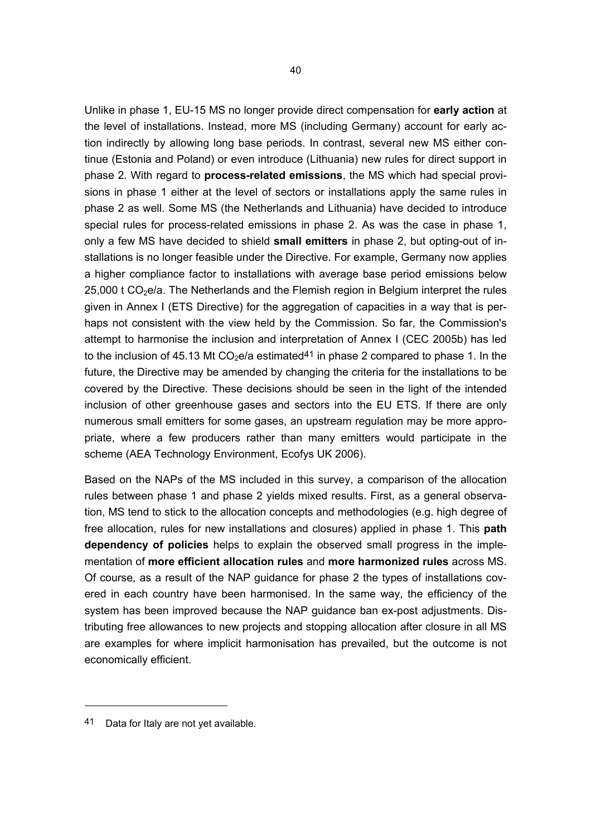Unlike in phase 1, EU-15 MS no longer provide direct compensation for **early action** at the level of installations. Instead, more MS (including Germany) account for early action indirectly by allowing long base periods. In contrast, several new MS either continue (Estonia and Poland) or even introduce (Lithuania) new rules for direct support in phase 2. With regard to **process-related emissions**, the MS which had special provisions in phase 1 either at the level of sectors or installations apply the same rules in phase 2 as well. Some MS (the Netherlands and Lithuania) have decided to introduce special rules for process-related emissions in phase 2. As was the case in phase 1, only a few MS have decided to shield **small emitters** in phase 2, but opting-out of installations is no longer feasible under the Directive. For example, Germany now applies a higher compliance factor to installations with average base period emissions below  $25,000$  t CO<sub>2</sub>e/a. The Netherlands and the Flemish region in Belgium interpret the rules given in Annex I (ETS Directive) for the aggregation of capacities in a way that is perhaps not consistent with the view held by the Commission. So far, the Commission's attempt to harmonise the inclusion and interpretation of Annex I (CEC 2005b) has led to the inclusion of 45.13 Mt  $CO<sub>2</sub>e/a$  estimated<sup>41</sup> in phase 2 compared to phase 1. In the future, the Directive may be amended by changing the criteria for the installations to be covered by the Directive. These decisions should be seen in the light of the intended inclusion of other greenhouse gases and sectors into the EU ETS. If there are only numerous small emitters for some gases, an upstream regulation may be more appropriate, where a few producers rather than many emitters would participate in the scheme (AEA Technology Environment, Ecofys UK 2006).

Based on the NAPs of the MS included in this survey, a comparison of the allocation rules between phase 1 and phase 2 yields mixed results. First, as a general observation, MS tend to stick to the allocation concepts and methodologies (e.g. high degree of free allocation, rules for new installations and closures) applied in phase 1. This **path dependency of policies** helps to explain the observed small progress in the implementation of **more efficient allocation rules** and **more harmonized rules** across MS. Of course, as a result of the NAP guidance for phase 2 the types of installations covered in each country have been harmonised. In the same way, the efficiency of the system has been improved because the NAP guidance ban ex-post adjustments. Distributing free allowances to new projects and stopping allocation after closure in all MS are examples for where implicit harmonisation has prevailed, but the outcome is not economically efficient.

 $\overline{a}$ 

<sup>41</sup> Data for Italy are not yet available.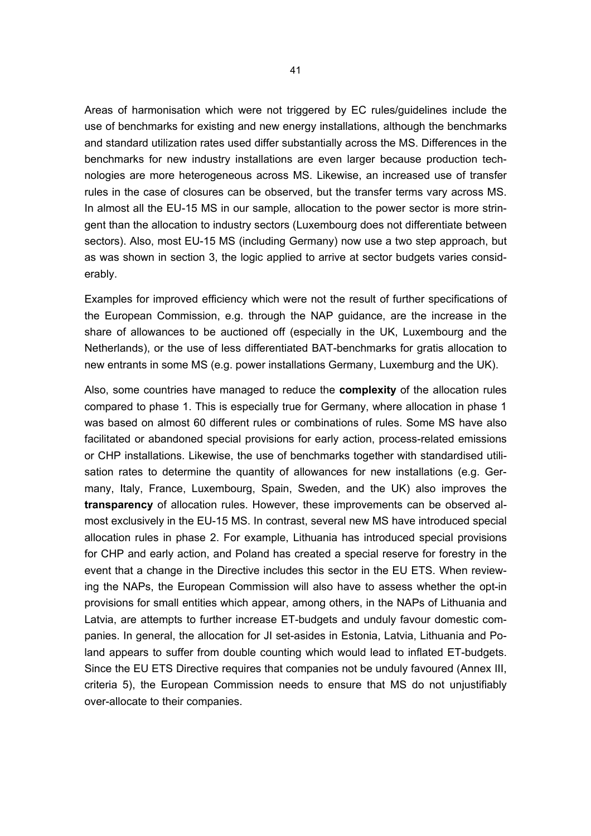Areas of harmonisation which were not triggered by EC rules/guidelines include the use of benchmarks for existing and new energy installations, although the benchmarks and standard utilization rates used differ substantially across the MS. Differences in the benchmarks for new industry installations are even larger because production technologies are more heterogeneous across MS. Likewise, an increased use of transfer rules in the case of closures can be observed, but the transfer terms vary across MS. In almost all the EU-15 MS in our sample, allocation to the power sector is more stringent than the allocation to industry sectors (Luxembourg does not differentiate between sectors). Also, most EU-15 MS (including Germany) now use a two step approach, but as was shown in section 3, the logic applied to arrive at sector budgets varies considerably.

Examples for improved efficiency which were not the result of further specifications of the European Commission, e.g. through the NAP guidance, are the increase in the share of allowances to be auctioned off (especially in the UK, Luxembourg and the Netherlands), or the use of less differentiated BAT-benchmarks for gratis allocation to new entrants in some MS (e.g. power installations Germany, Luxemburg and the UK).

Also, some countries have managed to reduce the **complexity** of the allocation rules compared to phase 1. This is especially true for Germany, where allocation in phase 1 was based on almost 60 different rules or combinations of rules. Some MS have also facilitated or abandoned special provisions for early action, process-related emissions or CHP installations. Likewise, the use of benchmarks together with standardised utilisation rates to determine the quantity of allowances for new installations (e.g. Germany, Italy, France, Luxembourg, Spain, Sweden, and the UK) also improves the **transparency** of allocation rules. However, these improvements can be observed almost exclusively in the EU-15 MS. In contrast, several new MS have introduced special allocation rules in phase 2. For example, Lithuania has introduced special provisions for CHP and early action, and Poland has created a special reserve for forestry in the event that a change in the Directive includes this sector in the EU ETS. When reviewing the NAPs, the European Commission will also have to assess whether the opt-in provisions for small entities which appear, among others, in the NAPs of Lithuania and Latvia, are attempts to further increase ET-budgets and unduly favour domestic companies. In general, the allocation for JI set-asides in Estonia, Latvia, Lithuania and Poland appears to suffer from double counting which would lead to inflated ET-budgets. Since the EU ETS Directive requires that companies not be unduly favoured (Annex III, criteria 5), the European Commission needs to ensure that MS do not unjustifiably over-allocate to their companies.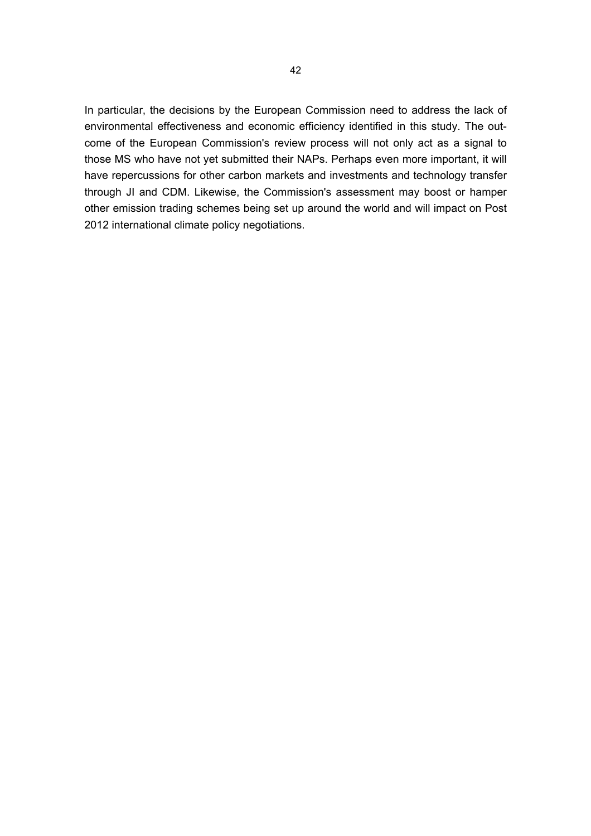In particular, the decisions by the European Commission need to address the lack of environmental effectiveness and economic efficiency identified in this study. The outcome of the European Commission's review process will not only act as a signal to those MS who have not yet submitted their NAPs. Perhaps even more important, it will have repercussions for other carbon markets and investments and technology transfer through JI and CDM. Likewise, the Commission's assessment may boost or hamper other emission trading schemes being set up around the world and will impact on Post 2012 international climate policy negotiations.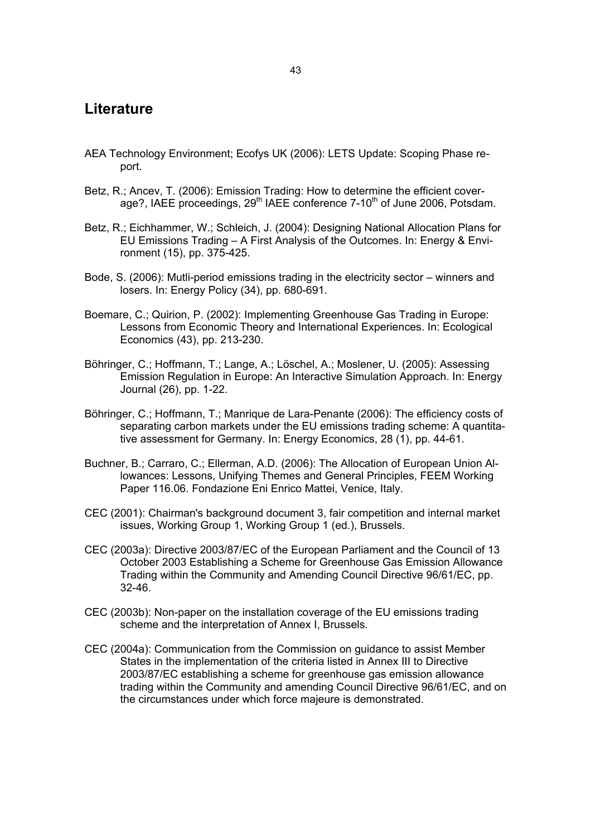### **Literature**

- AEA Technology Environment; Ecofys UK (2006): LETS Update: Scoping Phase report.
- Betz, R.; Ancev, T. (2006): Emission Trading: How to determine the efficient coverage?, IAEE proceedings,  $29<sup>th</sup>$  IAEE conference 7-10<sup>th</sup> of June 2006, Potsdam.
- Betz, R.; Eichhammer, W.; Schleich, J. (2004): Designing National Allocation Plans for EU Emissions Trading – A First Analysis of the Outcomes. In: Energy & Environment (15), pp. 375-425.
- Bode, S. (2006): Mutli-period emissions trading in the electricity sector winners and losers. In: Energy Policy (34), pp. 680-691.
- Boemare, C.; Quirion, P. (2002): Implementing Greenhouse Gas Trading in Europe: Lessons from Economic Theory and International Experiences. In: Ecological Economics (43), pp. 213-230.
- Böhringer, C.; Hoffmann, T.; Lange, A.; Löschel, A.; Moslener, U. (2005): Assessing Emission Regulation in Europe: An Interactive Simulation Approach. In: Energy Journal (26), pp. 1-22.
- Böhringer, C.; Hoffmann, T.; Manrique de Lara-Penante (2006): The efficiency costs of separating carbon markets under the EU emissions trading scheme: A quantitative assessment for Germany. In: Energy Economics, 28 (1), pp. 44-61.
- Buchner, B.; Carraro, C.; Ellerman, A.D. (2006): The Allocation of European Union Allowances: Lessons, Unifying Themes and General Principles, FEEM Working Paper 116.06. Fondazione Eni Enrico Mattei, Venice, Italy.
- CEC (2001): Chairman's background document 3, fair competition and internal market issues, Working Group 1, Working Group 1 (ed.), Brussels.
- CEC (2003a): Directive 2003/87/EC of the European Parliament and the Council of 13 October 2003 Establishing a Scheme for Greenhouse Gas Emission Allowance Trading within the Community and Amending Council Directive 96/61/EC, pp. 32-46.
- CEC (2003b): Non-paper on the installation coverage of the EU emissions trading scheme and the interpretation of Annex I, Brussels.
- CEC (2004a): Communication from the Commission on guidance to assist Member States in the implementation of the criteria listed in Annex III to Directive 2003/87/EC establishing a scheme for greenhouse gas emission allowance trading within the Community and amending Council Directive 96/61/EC, and on the circumstances under which force majeure is demonstrated.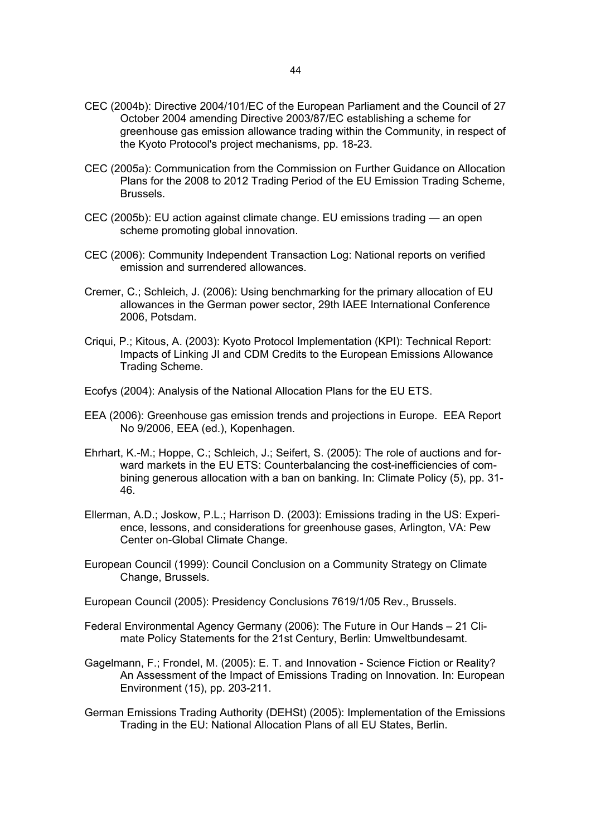- CEC (2004b): Directive 2004/101/EC of the European Parliament and the Council of 27 October 2004 amending Directive 2003/87/EC establishing a scheme for greenhouse gas emission allowance trading within the Community, in respect of the Kyoto Protocol's project mechanisms, pp. 18-23.
- CEC (2005a): Communication from the Commission on Further Guidance on Allocation Plans for the 2008 to 2012 Trading Period of the EU Emission Trading Scheme, Brussels.
- CEC (2005b): EU action against climate change. EU emissions trading an open scheme promoting global innovation.
- CEC (2006): Community Independent Transaction Log: National reports on verified emission and surrendered allowances.
- Cremer, C.; Schleich, J. (2006): Using benchmarking for the primary allocation of EU allowances in the German power sector, 29th IAEE International Conference 2006, Potsdam.
- Criqui, P.; Kitous, A. (2003): Kyoto Protocol Implementation (KPI): Technical Report: Impacts of Linking JI and CDM Credits to the European Emissions Allowance Trading Scheme.
- Ecofys (2004): Analysis of the National Allocation Plans for the EU ETS.
- EEA (2006): Greenhouse gas emission trends and projections in Europe. EEA Report No 9/2006, EEA (ed.), Kopenhagen.
- Ehrhart, K.-M.; Hoppe, C.; Schleich, J.; Seifert, S. (2005): The role of auctions and forward markets in the EU ETS: Counterbalancing the cost-inefficiencies of combining generous allocation with a ban on banking. In: Climate Policy (5), pp. 31- 46.
- Ellerman, A.D.; Joskow, P.L.; Harrison D. (2003): Emissions trading in the US: Experience, lessons, and considerations for greenhouse gases, Arlington, VA: Pew Center on-Global Climate Change.
- European Council (1999): Council Conclusion on a Community Strategy on Climate Change, Brussels.
- European Council (2005): Presidency Conclusions 7619/1/05 Rev., Brussels.
- Federal Environmental Agency Germany (2006): The Future in Our Hands 21 Climate Policy Statements for the 21st Century, Berlin: Umweltbundesamt.
- Gagelmann, F.; Frondel, M. (2005): E. T. and Innovation Science Fiction or Reality? An Assessment of the Impact of Emissions Trading on Innovation. In: European Environment (15), pp. 203-211.
- German Emissions Trading Authority (DEHSt) (2005): Implementation of the Emissions Trading in the EU: National Allocation Plans of all EU States, Berlin.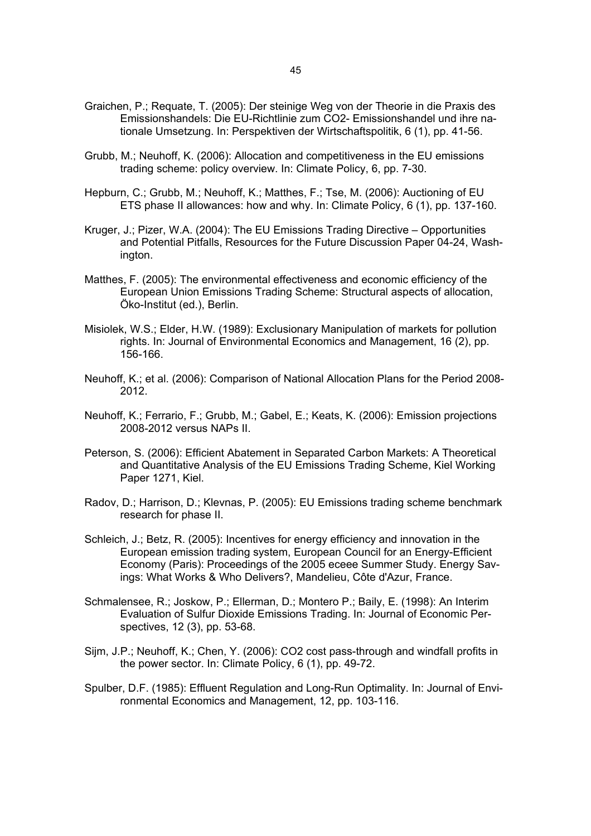- Graichen, P.; Requate, T. (2005): Der steinige Weg von der Theorie in die Praxis des Emissionshandels: Die EU-Richtlinie zum CO2- Emissionshandel und ihre nationale Umsetzung. In: Perspektiven der Wirtschaftspolitik, 6 (1), pp. 41-56.
- Grubb, M.; Neuhoff, K. (2006): Allocation and competitiveness in the EU emissions trading scheme: policy overview. In: Climate Policy, 6, pp. 7-30.
- Hepburn, C.; Grubb, M.; Neuhoff, K.; Matthes, F.; Tse, M. (2006): Auctioning of EU ETS phase II allowances: how and why. In: Climate Policy, 6 (1), pp. 137-160.
- Kruger, J.; Pizer, W.A. (2004): The EU Emissions Trading Directive Opportunities and Potential Pitfalls, Resources for the Future Discussion Paper 04-24, Washington.
- Matthes, F. (2005): The environmental effectiveness and economic efficiency of the European Union Emissions Trading Scheme: Structural aspects of allocation, Öko-Institut (ed.), Berlin.
- Misiolek, W.S.; Elder, H.W. (1989): Exclusionary Manipulation of markets for pollution rights. In: Journal of Environmental Economics and Management, 16 (2), pp. 156-166.
- Neuhoff, K.; et al. (2006): Comparison of National Allocation Plans for the Period 2008- 2012.
- Neuhoff, K.; Ferrario, F.; Grubb, M.; Gabel, E.; Keats, K. (2006): Emission projections 2008-2012 versus NAPs II.
- Peterson, S. (2006): Efficient Abatement in Separated Carbon Markets: A Theoretical and Quantitative Analysis of the EU Emissions Trading Scheme, Kiel Working Paper 1271, Kiel.
- Radov, D.; Harrison, D.; Klevnas, P. (2005): EU Emissions trading scheme benchmark research for phase II.
- Schleich, J.; Betz, R. (2005): Incentives for energy efficiency and innovation in the European emission trading system, European Council for an Energy-Efficient Economy (Paris): Proceedings of the 2005 eceee Summer Study. Energy Savings: What Works & Who Delivers?, Mandelieu, Côte d'Azur, France.
- Schmalensee, R.; Joskow, P.; Ellerman, D.; Montero P.; Baily, E. (1998): An Interim Evaluation of Sulfur Dioxide Emissions Trading. In: Journal of Economic Perspectives, 12 (3), pp. 53-68.
- Sijm, J.P.; Neuhoff, K.; Chen, Y. (2006): CO2 cost pass-through and windfall profits in the power sector. In: Climate Policy, 6 (1), pp. 49-72.
- Spulber, D.F. (1985): Effluent Regulation and Long-Run Optimality. In: Journal of Environmental Economics and Management, 12, pp. 103-116.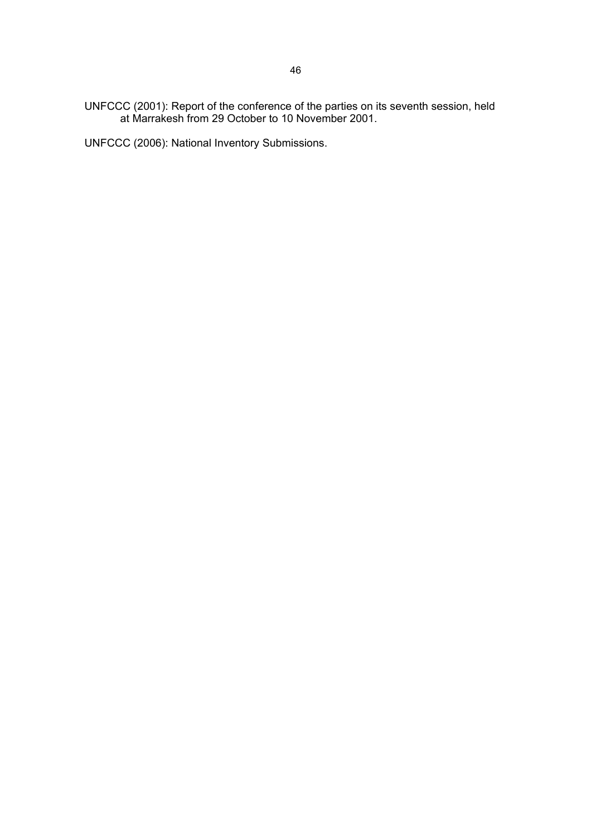UNFCCC (2001): Report of the conference of the parties on its seventh session, held at Marrakesh from 29 October to 10 November 2001.

UNFCCC (2006): National Inventory Submissions.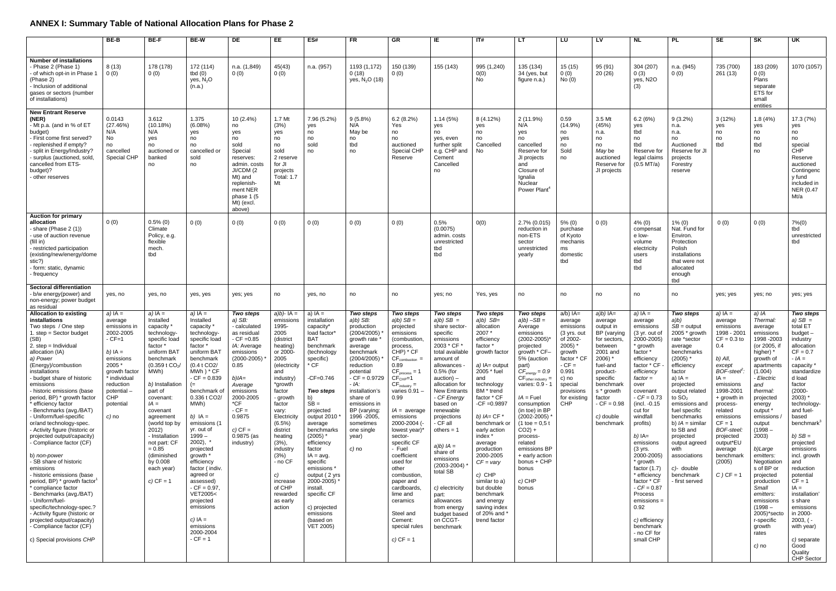# **ANNEX I: Summary Table of National Allocation Plans for Phase 2**

|                                                                                                                                                                                                                                                                                                                                                                                                                                                                                                                                                                                                                                                                                                                                                                                                                                                           | BE-B                                                                                                                                                                                     | <b>BE-F</b>                                                                                                                                                                                                                                                                                                                                                      | <b>BE-W</b>                                                                                                                                                                                                                                                                                                                                                                                                                                                                           | DE                                                                                                                                                                                                                                                  | EE                                                                                                                                                                                                                                                                                                                                                      | ES#                                                                                                                                                                                                                                                                                                                                                                                                                   | <b>FR</b>                                                                                                                                                                                                                                                                                 | GR                                                                                                                                                                                                                                                                                                                                                                                                                                                                           | IE                                                                                                                                                                                                                                                                                                                                                                                                                                                                    | ITH                                                                                                                                                                                                                                                                                                                                                                                                                                  | LT                                                                                                                                                                                                                                                                                                                                                                                                                                   | LU                                                                                                                                                                                              | LV                                                                                                                                                                                                                                    | <b>NL</b>                                                                                                                                                                                                                                                                                                                                                                                                                                                                                    | <b>PL</b>                                                                                                                                                                                                                                                                                                                                                                 | SE                                                                                                                                                                                                                                                                                                                       | <b>SK</b>                                                                                                                                                                                                                                                                                                                                                                                                                                      | UK                                                                                                                                                                                                                                                                                                                                                                                                                                                                                                    |
|-----------------------------------------------------------------------------------------------------------------------------------------------------------------------------------------------------------------------------------------------------------------------------------------------------------------------------------------------------------------------------------------------------------------------------------------------------------------------------------------------------------------------------------------------------------------------------------------------------------------------------------------------------------------------------------------------------------------------------------------------------------------------------------------------------------------------------------------------------------|------------------------------------------------------------------------------------------------------------------------------------------------------------------------------------------|------------------------------------------------------------------------------------------------------------------------------------------------------------------------------------------------------------------------------------------------------------------------------------------------------------------------------------------------------------------|---------------------------------------------------------------------------------------------------------------------------------------------------------------------------------------------------------------------------------------------------------------------------------------------------------------------------------------------------------------------------------------------------------------------------------------------------------------------------------------|-----------------------------------------------------------------------------------------------------------------------------------------------------------------------------------------------------------------------------------------------------|---------------------------------------------------------------------------------------------------------------------------------------------------------------------------------------------------------------------------------------------------------------------------------------------------------------------------------------------------------|-----------------------------------------------------------------------------------------------------------------------------------------------------------------------------------------------------------------------------------------------------------------------------------------------------------------------------------------------------------------------------------------------------------------------|-------------------------------------------------------------------------------------------------------------------------------------------------------------------------------------------------------------------------------------------------------------------------------------------|------------------------------------------------------------------------------------------------------------------------------------------------------------------------------------------------------------------------------------------------------------------------------------------------------------------------------------------------------------------------------------------------------------------------------------------------------------------------------|-----------------------------------------------------------------------------------------------------------------------------------------------------------------------------------------------------------------------------------------------------------------------------------------------------------------------------------------------------------------------------------------------------------------------------------------------------------------------|--------------------------------------------------------------------------------------------------------------------------------------------------------------------------------------------------------------------------------------------------------------------------------------------------------------------------------------------------------------------------------------------------------------------------------------|--------------------------------------------------------------------------------------------------------------------------------------------------------------------------------------------------------------------------------------------------------------------------------------------------------------------------------------------------------------------------------------------------------------------------------------|-------------------------------------------------------------------------------------------------------------------------------------------------------------------------------------------------|---------------------------------------------------------------------------------------------------------------------------------------------------------------------------------------------------------------------------------------|----------------------------------------------------------------------------------------------------------------------------------------------------------------------------------------------------------------------------------------------------------------------------------------------------------------------------------------------------------------------------------------------------------------------------------------------------------------------------------------------|---------------------------------------------------------------------------------------------------------------------------------------------------------------------------------------------------------------------------------------------------------------------------------------------------------------------------------------------------------------------------|--------------------------------------------------------------------------------------------------------------------------------------------------------------------------------------------------------------------------------------------------------------------------------------------------------------------------|------------------------------------------------------------------------------------------------------------------------------------------------------------------------------------------------------------------------------------------------------------------------------------------------------------------------------------------------------------------------------------------------------------------------------------------------|-------------------------------------------------------------------------------------------------------------------------------------------------------------------------------------------------------------------------------------------------------------------------------------------------------------------------------------------------------------------------------------------------------------------------------------------------------------------------------------------------------|
| <b>Number of installations</b><br>Phase 2 (Phase 1)<br>of which opt-in in Phase 1<br>(Phase 2)<br>- Inclusion of additional<br>gases or sectors (number<br>of installations)                                                                                                                                                                                                                                                                                                                                                                                                                                                                                                                                                                                                                                                                              | 8(13)<br>0(0)                                                                                                                                                                            | 178 (178)<br>0(0)                                                                                                                                                                                                                                                                                                                                                | 172 (114)<br>tbd $(0)$<br>yes, N <sub>2</sub> O<br>(n.a.)                                                                                                                                                                                                                                                                                                                                                                                                                             | n.a. (1,849)<br>0(0)                                                                                                                                                                                                                                | 45(43)<br>0(0)                                                                                                                                                                                                                                                                                                                                          | n.a. (957)                                                                                                                                                                                                                                                                                                                                                                                                            | 1193 (1,172)<br>0(18)<br>yes, N <sub>2</sub> O (18)                                                                                                                                                                                                                                       | 150 (139)<br>0(0)                                                                                                                                                                                                                                                                                                                                                                                                                                                            | 155 (143)                                                                                                                                                                                                                                                                                                                                                                                                                                                             | 995 (1,240)<br>0(0)<br>No                                                                                                                                                                                                                                                                                                                                                                                                            | 135 (134)<br>34 (yes, but<br>figure n.a.)                                                                                                                                                                                                                                                                                                                                                                                            | 15(15)<br>0(0)<br>No(0)                                                                                                                                                                         | 95 (91)<br>20(26)                                                                                                                                                                                                                     | 304 (207)<br>0(3)<br>yes, N2O<br>(3)                                                                                                                                                                                                                                                                                                                                                                                                                                                         | n.a. (945)<br>0(0)                                                                                                                                                                                                                                                                                                                                                        | 735 (700)<br>261(13)                                                                                                                                                                                                                                                                                                     | 183 (209)<br>0(0)<br>Plans<br>separate<br>ETS for<br>small<br>entities                                                                                                                                                                                                                                                                                                                                                                         | 1070 (1057)                                                                                                                                                                                                                                                                                                                                                                                                                                                                                           |
| <b>New Entrant Reserve</b><br>(NER)<br>- Mt p.a. (and in % of ET<br>budget)<br>First come first served?<br>replenished if empty?<br>split in Energy/Industry?<br>- surplus (auctioned, sold,<br>cancelled from ETS-<br>budget)?<br>other reserves                                                                                                                                                                                                                                                                                                                                                                                                                                                                                                                                                                                                         | 0.0143<br>(27.46%)<br>N/A<br>No<br>no<br>cancelled<br>Special CHP                                                                                                                        | 3.612<br>(10.18%)<br>N/A<br>yes<br>no<br>auctioned or<br>banked<br>no                                                                                                                                                                                                                                                                                            | 1.375<br>(6.08%)<br>yes<br>no<br>no<br>cancelled or<br>sold<br>no                                                                                                                                                                                                                                                                                                                                                                                                                     | 10 (2.4%)<br>no<br>yes<br>no<br>sold<br>Special<br>reserves:<br>admin. costs<br>JI/CDM (2<br>Mt) and<br>replenish-<br>ment NER<br>phase 1 (5<br>Mt) (excl.<br>above)                                                                                | 1.7 Mt<br>(3%)<br>yes<br>no<br>no<br>sold<br>2 reserve<br>for JI<br>projects<br><b>Total: 1.7</b><br>Mt                                                                                                                                                                                                                                                 | 7.96 (5.2%)<br>yes<br>no<br>no<br>sold<br>no                                                                                                                                                                                                                                                                                                                                                                          | 9(5.8%)<br>N/A<br>May be<br>no<br>tbd<br>no                                                                                                                                                                                                                                               | 6.2(8.2%)<br>Yes<br>no<br>no<br>auctioned<br>Special CHP<br>Reserve                                                                                                                                                                                                                                                                                                                                                                                                          | 1.14(5%)<br>yes<br>no<br>ves, even<br>further split<br>e.g. CHP and<br>Cement<br>Cancelled<br>no                                                                                                                                                                                                                                                                                                                                                                      | 8 (4.12%)<br>yes<br>no<br>no<br>Cancelled<br>No.                                                                                                                                                                                                                                                                                                                                                                                     | 2 (11.9%)<br>N/A<br>yes<br>no<br>cancelled<br>Reserve for<br>JI projects<br>and<br>Closure of<br>Ignalia<br>Nuclear<br>Power Plant <sup>4</sup>                                                                                                                                                                                                                                                                                      | 0.59<br>$(14.9\%)$<br>no<br>yes<br>no<br>Sold<br>no                                                                                                                                             | 3.5 Mt<br>(45%)<br>n.a.<br>no<br>no<br>May be<br>auctioned<br>Reserve for<br>JI projects                                                                                                                                              | 6.2(6%)<br>yes<br>tbd<br>no<br>tbd<br>Reserve for<br>legal claim<br>$(0.5$ MT/a)                                                                                                                                                                                                                                                                                                                                                                                                             | $9(3.2\%)$<br>n.a.<br>n.a.<br>no<br>Auctioned<br>Reserve for JI<br>projects<br>Forestry<br>reserve                                                                                                                                                                                                                                                                        | 3(12%)<br>ves<br>no<br>no<br>tbd                                                                                                                                                                                                                                                                                         | 1.8(4%)<br>yes<br>no<br>no<br>tbd<br>no                                                                                                                                                                                                                                                                                                                                                                                                        | 17.3 (7%)<br>yes<br>no<br>no<br>special<br>CHP<br>Reserve<br>auctioned<br>Contingenc<br>y fund<br>included in<br>NER (0.47<br>Mt/a                                                                                                                                                                                                                                                                                                                                                                    |
| <b>Auction for primary</b><br>allocation<br>Share (Phase 2 (1))<br>use of auction revenue<br>(fill in)<br>- restricted participation<br>(existing/new/energy/dome<br>stic?)<br>- form: static, dynamic<br>∙ frequency                                                                                                                                                                                                                                                                                                                                                                                                                                                                                                                                                                                                                                     | 0(0)                                                                                                                                                                                     | $0.5\%$ (0)<br>Climate<br>Policy, e.g.<br>flexible<br>mech.<br>tbd                                                                                                                                                                                                                                                                                               | 0(0)                                                                                                                                                                                                                                                                                                                                                                                                                                                                                  | 0(0)                                                                                                                                                                                                                                                | 0(0)                                                                                                                                                                                                                                                                                                                                                    | 0(0)                                                                                                                                                                                                                                                                                                                                                                                                                  | 0(0)                                                                                                                                                                                                                                                                                      | 0(0)                                                                                                                                                                                                                                                                                                                                                                                                                                                                         | 0.5%<br>(0.0075)<br>admin, costs<br>unrestricted<br>tbd<br>tbd                                                                                                                                                                                                                                                                                                                                                                                                        | O(0)                                                                                                                                                                                                                                                                                                                                                                                                                                 | 2.7% (0.015)<br>reduction in<br>non-ETS<br>sector<br>unrestricted<br>yearly                                                                                                                                                                                                                                                                                                                                                          | $5\%$ (0)<br>purchase<br>of Kyoto<br>mechanis<br>ms<br>domestic<br>tbd                                                                                                                          | 0(0)                                                                                                                                                                                                                                  | $4\%$ (0)<br>compensat<br>e low-<br>volume<br>electricity<br>users<br>tbd<br>tbd                                                                                                                                                                                                                                                                                                                                                                                                             | 1% (0)<br>Nat. Fund for<br>Environ.<br>Protection<br>Polish<br>installations<br>that were not<br>allocated<br>enough<br>tbd                                                                                                                                                                                                                                               | 0(0)                                                                                                                                                                                                                                                                                                                     | 0(0)                                                                                                                                                                                                                                                                                                                                                                                                                                           | $7\% (0)$<br>tbd<br>unrestricted<br>tbd                                                                                                                                                                                                                                                                                                                                                                                                                                                               |
| Sectoral differentiation<br>- b/w energy(power) and<br>non-energy; power budget<br>as residual                                                                                                                                                                                                                                                                                                                                                                                                                                                                                                                                                                                                                                                                                                                                                            | yes, no                                                                                                                                                                                  | yes, no                                                                                                                                                                                                                                                                                                                                                          | yes, yes                                                                                                                                                                                                                                                                                                                                                                                                                                                                              | yes; yes                                                                                                                                                                                                                                            | no                                                                                                                                                                                                                                                                                                                                                      | yes, no                                                                                                                                                                                                                                                                                                                                                                                                               | no                                                                                                                                                                                                                                                                                        | no                                                                                                                                                                                                                                                                                                                                                                                                                                                                           | yes; no                                                                                                                                                                                                                                                                                                                                                                                                                                                               | Yes, yes                                                                                                                                                                                                                                                                                                                                                                                                                             | no                                                                                                                                                                                                                                                                                                                                                                                                                                   | no                                                                                                                                                                                              | no                                                                                                                                                                                                                                    | no                                                                                                                                                                                                                                                                                                                                                                                                                                                                                           | no                                                                                                                                                                                                                                                                                                                                                                        | yes; yes                                                                                                                                                                                                                                                                                                                 | yes; no                                                                                                                                                                                                                                                                                                                                                                                                                                        | yes; yes                                                                                                                                                                                                                                                                                                                                                                                                                                                                                              |
| <b>Allocation to existing</b><br>installations<br>Two steps / One step<br>1. step = Sector budget<br>(SB)<br>2. step = Individual<br>allocation (IA)<br>a) Power<br>(Energy)/combustion<br>installations<br>budget share of historic<br>emissions<br>historic emissions (base<br>period, BP) * growth factor<br>efficiency factor<br>Benchmarks (avg./BAT)<br>Uniform/fuel-specific<br>or/and technology-spec.<br>- Activity figure (historic or<br>projected output/capacity)<br>Compliance factor (CF)<br>b) non-power<br>SB share of historic<br>emissions<br>historic emissions (base<br>period, BP) * growth factor <sup>1</sup><br>compliance factor<br>Benchmarks (avg./BAT)<br>Uniform/fuel-<br>specific/technology-spec.?<br>- Activity figure (historic or<br>projected output/capacity)<br>Compliance factor (CF)<br>c) Special provisions CHP | a) $IA =$<br>average<br>emissions in<br>2002-2005<br>$-CF=1$<br>b) $IA =$<br>emissions<br>2005 *<br>growth factor<br>* individual<br>reduction<br>potential<br>CHP<br>potential<br>c) no | $a)$ IA =<br>Installed<br>capacity '<br>technology<br>specific load<br>factor *<br>uniform BAT<br>benchmark<br>$(0.359 \t{t} \text{CO}_2)$<br>MWh)<br>b) Installation<br>part of<br>covenant:<br>$IA =$<br>covenant<br>agreement<br>(world top by<br>2012)<br>- Installation<br>not part: CF<br>$= 0.85$<br>(diminished<br>by 0.008<br>each year)<br>c) $CF = 1$ | $a)$ IA =<br>Installed<br>capacity <sup>'</sup><br>technology<br>specific load<br>factor *<br>uniform BA1<br>benchmark<br>(0.4 t CO2/<br>MWh) * CF<br>$-CF = 0.839$<br>(≕<br>benchmark of<br>0.336 t CO2/<br>MWh)<br>b) $IA =$<br>emissions (1<br>yr. out of<br>$1999 -$<br>$2002$ ), $*$<br>projected<br>growth *<br>efficiency<br>factor (indiv.<br>agreed or<br>assessed)<br>$CF = 0.97$<br>VET2005<<br>projected<br>emissions<br>c) $IA =$<br>emissions<br>2000-2004<br>$-CF = 1$ | Two steps<br>a) SB:<br>- calculated<br>as residual<br>$-CF = 0.85$<br>IA: Average<br>emissions<br>$(2000 - 2005)$<br>0.85<br>$b$ )/ $A=$<br>Average<br>emissions<br>2000-2005<br>*CF<br>$-CF =$<br>0.9875<br>$c)$ CF =<br>$0.9875$ (as<br>industry) | $a/b$ )- $IA =$<br>emissions<br>1995-<br>2005<br>(district<br>heating)<br>or 2000-<br>2005<br>(electricity<br>and<br>industry <sup>)</sup><br>*growth<br>factor<br>- growth<br>factor<br>vary:<br>Electricity<br>(6.5%)<br>district<br>heating<br>$(3%)$ ,<br>industry<br>(3%)<br>- no CF<br>C)<br>increase<br>of CHP<br>rewarded<br>as early<br>action | a) $IA =$<br>installation<br>capacity*<br>load factor<br><b>BAT</b><br>benchmark<br>(technology<br>specific)<br>* CF<br>$-CF=0.746$<br>Two steps<br>$SB =$<br>projected<br>output 2010<br>average<br>benchmarks<br>(2005)<br>efficiency<br>factor<br>$IA = avq$ .<br>specific<br>emissions '<br>output (2 yrs<br>2000-2005)*<br>install.<br>specific CF<br>c) projected<br>emissions<br>(based on<br><b>VET 2005)</b> | Two steps<br>$a/b)$ SB:<br>production<br>(2004/2005)<br>growth rate<br>average<br>benchmark<br>(2004/2005)<br>reduction<br>potential<br>$-CF = 0.9729$<br>- IA:<br>installation's<br>share of<br>emissions in<br>BP (varying:<br>1996 - 2005<br>sometimes<br>one single<br>year)<br>c) no | Two steps<br>$a/b)$ SB =<br>projected<br>emissions<br>(combustion<br>process,<br>$CHP$ ) $*$ CF<br>$CF_{combination}$ =<br>0.89<br>$CFprocess = 1$<br>$CFCHP=1$<br>$CF_{industry} =$<br>varies 0.91 -<br>0.99<br>IA = average<br>emissions<br>2000-2004 (<br>lowest year)*<br>sector-<br>specific CF<br>- Fuel<br>coefficient<br>used for<br>other<br>combustion.<br>paper and<br>cardboards<br>lime and<br>ceramics<br>Steel and<br>Cement:<br>special rules<br>$c)$ CF = 1 | Two steps<br>$a/b)$ SB $=$<br>share sector-<br>specific<br>emissions<br>2003 * CF *<br>total available<br>amount of<br>allowances<br>$0.5%$ (for<br>$auction$ ) –<br>allocation for<br><b>New Entrants</b><br>- CF Energy<br>based on<br>renewable<br>projections<br>CF all<br>others $= 1$<br>$a/b)$ $IA =$<br>share of<br>emissions<br>$(2003 - 2004)$<br>total SB<br>c) electricity<br>part:<br>allowances<br>from energy<br>budget based<br>on CCGT-<br>benchmark | Two steps<br>$a/b)$ SB=<br>allocation<br>2007*<br>efficiency<br>factor *<br>growth factor<br>$a)$ IA= output<br>2005 * fuel<br>and<br>technology<br>BM * trend<br>factor * CF<br>$-CF = 0.9897$<br>b) $IA = CF$ *<br>benchmark o<br>early action<br>index *<br>average<br>production<br>2000-2005<br>$CF = varV$<br>c) CHP<br>similar to a)<br>but double<br>benchmark<br>and energy<br>saving index<br>of 20% and '<br>trend factor | Two steps<br>$a/b$ ) $-SB =$<br>Average<br>emissions<br>$(2002 - 2005)$<br>projected<br>growth * CF-<br>5% (auction<br>part)<br>$CF_{\text{energy}} = 0.9$<br>$CF_{other\ industry} =$<br>varies: 0.9 - 1<br>$IA =$ Fuel<br>consumption<br>(in toe) in BP<br>$(2002 - 2005)$<br>$(1 \text{ toe} = 0.5 \text{ t})$<br>$CO2$ ) +<br>process-<br>related<br>emissions BP<br>$+$ early action<br>bonus + CHP<br>bonus<br>c) CHP<br>bonus | a/b) IA=<br>average<br>emissions<br>(3 yrs. out<br>of 2002-<br>$2005$ <sup>*</sup><br>growth<br>factor * CF<br>$-CF =$<br>0.991<br>c) no<br>special<br>provisions<br>for existing<br><b>CHP</b> | $a/b$ ) $IA=$<br>average<br>output in<br>BP (varying<br>for sectors.<br>between<br>2001 and<br>$2006$ <sup>*</sup><br>fuel-and<br>product-<br>specific<br>benchmark<br>s * growth<br>factor<br>$-CF = 0.98$<br>c) double<br>benchmark | $a)$ IA =<br>average<br>emissions<br>(3 yr. out of<br>2000-2005)<br>* growth<br>factor *<br>efficiency<br>factor * CF -<br>efficiency<br>$factor =$<br>over<br>covenant<br>$-CF = 0.73$<br>$(incl. -0.15)$<br>cut for<br>windfall<br>profits)<br>$b)$ $A=$<br>emissions<br>$(3 \text{ yrs.})$<br>2000-2005)<br>* growth<br>factor $(1.7)$<br>* efficiency<br>factor * CF<br>$-CF = 0.87$<br><b>Process</b><br>$emission =$<br>0.92<br>c) efficiency<br>benchmark<br>- no CF for<br>small CHP | Two steps<br>a/b)<br>$SB =$ output<br>2005 * growth<br>rate *sector<br>average<br>benchmarks<br>(2005)<br>efficiency<br>factor<br>a) $IA =$<br>projected<br>output related<br>to $SO2$<br>emissions and<br>fuel specific<br>benchmarks<br>b) $IA =$ similar<br>to SB and<br>projected<br>output agreed<br>with<br>associations<br>c)- double<br>benchmark<br>first served | a) $IA =$<br>average<br>emissions<br>1998 - 2001<br>$CF = 0.3$ to<br>0.4<br>$b)$ All,<br>except<br>$BOF\text{-}steef$<br>$AA =$<br>emissions<br>1998-2001<br>+ growth in<br>process-<br>related<br>emissions<br>$CF = 1$<br><b>BOF-steel</b><br>projected<br>output*EU<br>average<br>benchmark<br>(2005)<br>$C$ ) CF = 1 | a) IA<br>Thermal:<br>average<br>emissions<br>1998 - 2003<br>(or 2005, if<br>higher)<br>growth of<br>apartments<br>(1.004)<br>- Electric<br>and<br>thermal.<br>projected<br>energy<br>output <sup>*</sup><br>emissions<br>output<br>$(1998 -$<br>2003)<br>b)Large<br>emitters:<br>Negotiation<br>s of BP or<br>projected<br>production<br>Small<br>emitters:<br>emissions<br>$(1998 -$<br>2005)*secto<br>r-specific<br>growth<br>rates<br>c) no | Two steps<br>$a)$ SB =<br>total ET<br>budget-<br>industry<br>allocation<br>$CF = 0.7$<br>$IA =$<br>capacity *<br>standardize<br>d load<br>factor<br>$(2000 -$<br>$2003$ <sup>+</sup><br>technology-<br>and fuel-<br>based<br>benchmark <sup>3</sup><br>$b)$ SB =<br>projected<br>emissions<br>incl. growth<br>and<br>reduction<br>potential<br>$CF = 1$<br>$IA =$<br>installation'<br>s share<br>emissions<br>in 2000-<br>$2003, ( - )$<br>with year)<br>c) separate<br>Good<br>Quality<br>CHP Sector |